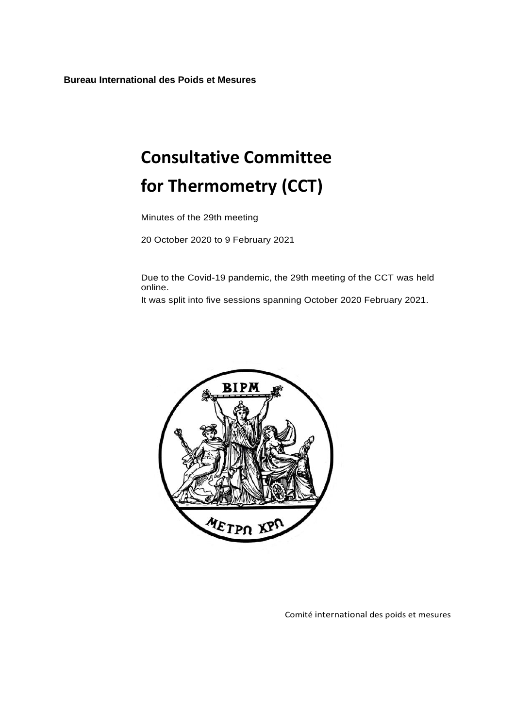**Bureau International des Poids et Mesures**

# **Consultative Committee for Thermometry (CCT)**

Minutes of the 29th meeting

20 October 2020 to 9 February 2021

Due to the Covid-19 pandemic, the 29th meeting of the CCT was held online.

It was split into five sessions spanning October 2020 February 2021.



Comité international des poids et mesures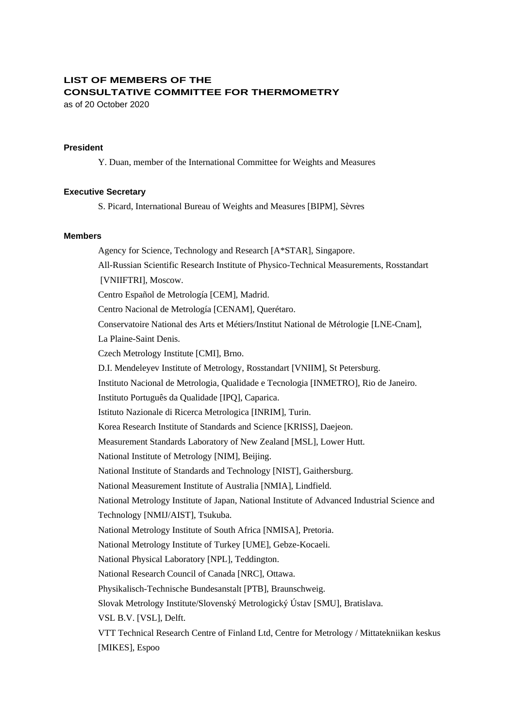# **LIST OF MEMBERS OF THE CONSULTATIVE COMMITTEE FOR THERMOMETRY**

as of 20 October 2020

#### **President**

Y. Duan, member of the International Committee for Weights and Measures

#### **Executive Secretary**

S. Picard, International Bureau of Weights and Measures [BIPM], Sèvres

#### **Members**

Agency for Science, Technology and Research [A\*STAR], Singapore. All-Russian Scientific Research Institute of Physico-Technical Measurements, Rosstandart [VNIIFTRI], Moscow. Centro Español de Metrología [CEM], Madrid. Centro Nacional de Metrología [CENAM], Querétaro. Conservatoire National des Arts et Métiers/Institut National de Métrologie [LNE-Cnam], La Plaine-Saint Denis. Czech Metrology Institute [CMI], Brno. D.I. Mendeleyev Institute of Metrology, Rosstandart [VNIIM], St Petersburg. Instituto Nacional de Metrologia, Qualidade e Tecnologia [INMETRO], Rio de Janeiro. Instituto Português da Qualidade [IPQ], Caparica. Istituto Nazionale di Ricerca Metrologica [INRIM], Turin. Korea Research Institute of Standards and Science [KRISS], Daejeon. Measurement Standards Laboratory of New Zealand [MSL], Lower Hutt. National Institute of Metrology [NIM], Beijing. National Institute of Standards and Technology [NIST], Gaithersburg. National Measurement Institute of Australia [NMIA], Lindfield. National Metrology Institute of Japan, National Institute of Advanced Industrial Science and Technology [NMIJ/AIST], Tsukuba. National Metrology Institute of South Africa [NMISA], Pretoria. National Metrology Institute of Turkey [UME], Gebze-Kocaeli. National Physical Laboratory [NPL], Teddington. National Research Council of Canada [NRC], Ottawa. Physikalisch-Technische Bundesanstalt [PTB], Braunschweig. Slovak Metrology Institute/Slovenský Metrologický Ústav [SMU], Bratislava. VSL B.V. [VSL], Delft. VTT Technical Research Centre of Finland Ltd, Centre for Metrology / Mittatekniikan keskus [MIKES], Espoo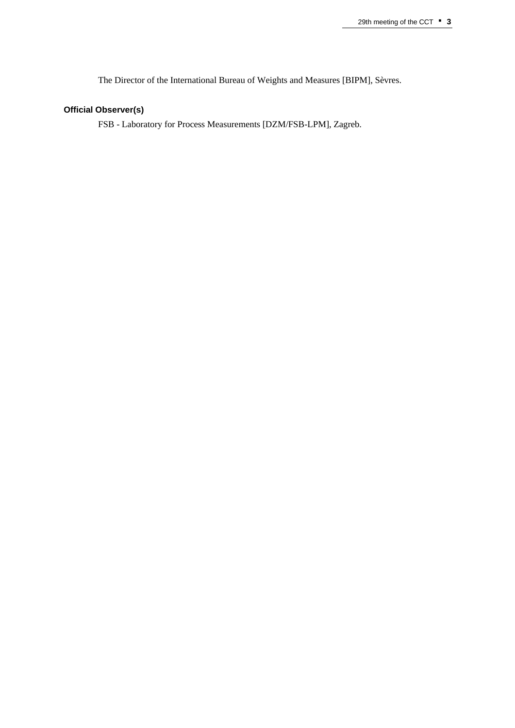The Director of the International Bureau of Weights and Measures [BIPM], Sèvres.

# **Official Observer(s)**

FSB - Laboratory for Process Measurements [DZM/FSB-LPM], Zagreb.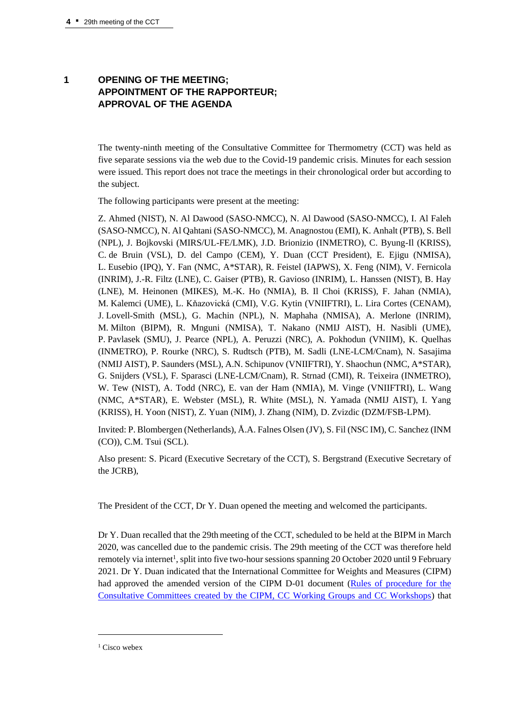# **1 OPENING OF THE MEETING; APPOINTMENT OF THE RAPPORTEUR; APPROVAL OF THE AGENDA**

The twenty-ninth meeting of the Consultative Committee for Thermometry (CCT) was held as five separate sessions via the web due to the Covid-19 pandemic crisis. Minutes for each session were issued. This report does not trace the meetings in their chronological order but according to the subject.

The following participants were present at the meeting:

Z. Ahmed (NIST), N. Al Dawood (SASO-NMCC), N. Al Dawood (SASO-NMCC), I. Al Faleh (SASO-NMCC), N. Al Qahtani (SASO-NMCC), M. Anagnostou (EMI), K. Anhalt (PTB), S. Bell (NPL), J. Bojkovski (MIRS/UL-FE/LMK), J.D. Brionizio (INMETRO), C. Byung-Il (KRISS), C. de Bruin (VSL), D. del Campo (CEM), Y. Duan (CCT President), E. Ejigu (NMISA), L. Eusebio (IPQ), Y. Fan (NMC, A\*STAR), R. Feistel (IAPWS), X. Feng (NIM), V. Fernicola (INRIM), J.-R. Filtz (LNE), C. Gaiser (PTB), R. Gavioso (INRIM), L. Hanssen (NIST), B. Hay (LNE), M. Heinonen (MIKES), M.-K. Ho (NMIA), B. Il Choi (KRISS), F. Jahan (NMIA), M. Kalemci (UME), L. Kňazovická (CMI), V.G. Kytin (VNIIFTRI), L. Lira Cortes (CENAM), J. Lovell-Smith (MSL), G. Machin (NPL), N. Maphaha (NMISA), A. Merlone (INRIM), M. Milton (BIPM), R. Mnguni (NMISA), T. Nakano (NMIJ AIST), H. Nasibli (UME), P. Pavlasek (SMU), J. Pearce (NPL), A. Peruzzi (NRC), A. Pokhodun (VNIIM), K. Quelhas (INMETRO), P. Rourke (NRC), S. Rudtsch (PTB), M. Sadli (LNE-LCM/Cnam), N. Sasajima (NMIJ AIST), P. Saunders (MSL), A.N. Schipunov (VNIIFTRI), Y. Shaochun (NMC, A\*STAR), G. Snijders (VSL), F. Sparasci (LNE-LCM/Cnam), R. Strnad (CMI), R. Teixeira (INMETRO), W. Tew (NIST), A. Todd (NRC), E. van der Ham (NMIA), M. Vinge (VNIIFTRI), L. Wang (NMC, A\*STAR), E. Webster (MSL), R. White (MSL), N. Yamada (NMIJ AIST), I. Yang (KRISS), H. Yoon (NIST), Z. Yuan (NIM), J. Zhang (NIM), D. Zvizdic (DZM/FSB-LPM).

Invited: P. Blombergen (Netherlands), Å.A. Falnes Olsen (JV), S. Fil (NSC IM), C. Sanchez (INM (CO)), C.M. Tsui (SCL).

Also present: S. Picard (Executive Secretary of the CCT), S. Bergstrand (Executive Secretary of the JCRB),

The President of the CCT, Dr Y. Duan opened the meeting and welcomed the participants.

Dr Y. Duan recalled that the 29th meeting of the CCT, scheduled to be held at the BIPM in March 2020, was cancelled due to the pandemic crisis. The 29th meeting of the CCT was therefore held remotely via internet<sup>1</sup>, split into five two-hour sessions spanning 20 October 2020 until 9 February 2021. Dr Y. Duan indicated that the International Committee for Weights and Measures (CIPM) had approved the amended version of the CIPM D-01 document [\(Rules of procedure for the](https://www.bipm.org/utils/en/pdf/CIPM-D-01.pdf)  [Consultative Committees created by the CIPM, CC Working Groups and CC Workshops\)](https://www.bipm.org/utils/en/pdf/CIPM-D-01.pdf) that

<sup>&</sup>lt;sup>1</sup> Cisco webex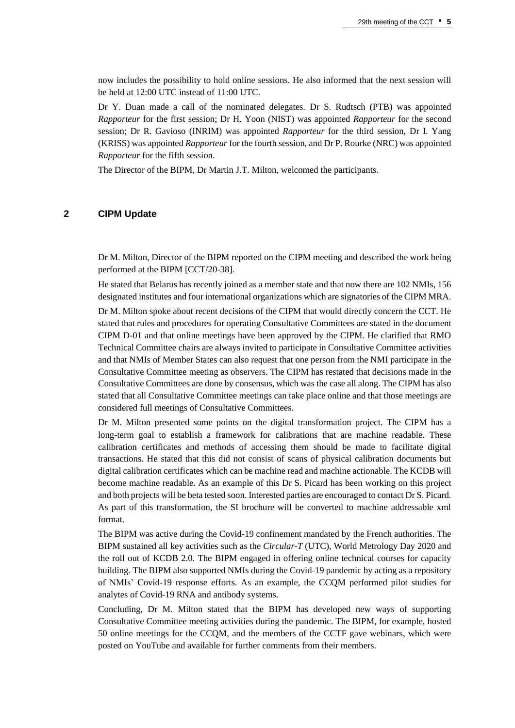now includes the possibility to hold online sessions. He also informed that the next session will be held at 12:00 UTC instead of 11:00 UTC.

Dr Y. Duan made a call of the nominated delegates. Dr S. Rudtsch (PTB) was appointed *Rapporteur* for the first session; Dr H. Yoon (NIST) was appointed *Rapporteur* for the second session; Dr R. Gavioso (INRIM) was appointed *Rapporteur* for the third session, Dr I. Yang (KRISS) was appointed *Rapporteur* for the fourth session, and Dr P. Rourke (NRC) was appointed *Rapporteur* for the fifth session.

The Director of the BIPM, Dr Martin J.T. Milton, welcomed the participants.

#### **2 CIPM Update**

Dr M. Milton, Director of the BIPM reported on the CIPM meeting and described the work being performed at the BIPM [CCT/20-38].

He stated that Belarus has recently joined as a member state and that now there are 102 NMIs, 156 designated institutes and four international organizations which are signatories of the CIPM MRA.

Dr M. Milton spoke about recent decisions of the CIPM that would directly concern the CCT. He stated that rules and procedures for operating Consultative Committees are stated in the document CIPM D-01 and that online meetings have been approved by the CIPM. He clarified that RMO Technical Committee chairs are always invited to participate in Consultative Committee activities and that NMIs of Member States can also request that one person from the NMI participate in the Consultative Committee meeting as observers. The CIPM has restated that decisions made in the Consultative Committees are done by consensus, which was the case all along. The CIPM has also stated that all Consultative Committee meetings can take place online and that those meetings are considered full meetings of Consultative Committees.

Dr M. Milton presented some points on the digital transformation project. The CIPM has a long-term goal to establish a framework for calibrations that are machine readable. These calibration certificates and methods of accessing them should be made to facilitate digital transactions. He stated that this did not consist of scans of physical calibration documents but digital calibration certificates which can be machine read and machine actionable. The KCDB will become machine readable. As an example of this Dr S. Picard has been working on this project and both projects will be beta tested soon. Interested parties are encouraged to contact Dr S. Picard. As part of this transformation, the SI brochure will be converted to machine addressable xml format.

The BIPM was active during the Covid-19 confinement mandated by the French authorities. The BIPM sustained all key activities such as the *Circular-T* (UTC), World Metrology Day 2020 and the roll out of KCDB 2.0. The BIPM engaged in offering online technical courses for capacity building. The BIPM also supported NMIs during the Covid-19 pandemic by acting as a repository of NMIs' Covid-19 response efforts. As an example, the CCQM performed pilot studies for analytes of Covid-19 RNA and antibody systems.

Concluding, Dr M. Milton stated that the BIPM has developed new ways of supporting Consultative Committee meeting activities during the pandemic. The BIPM, for example, hosted 50 online meetings for the CCQM, and the members of the CCTF gave webinars, which were posted on YouTube and available for further comments from their members.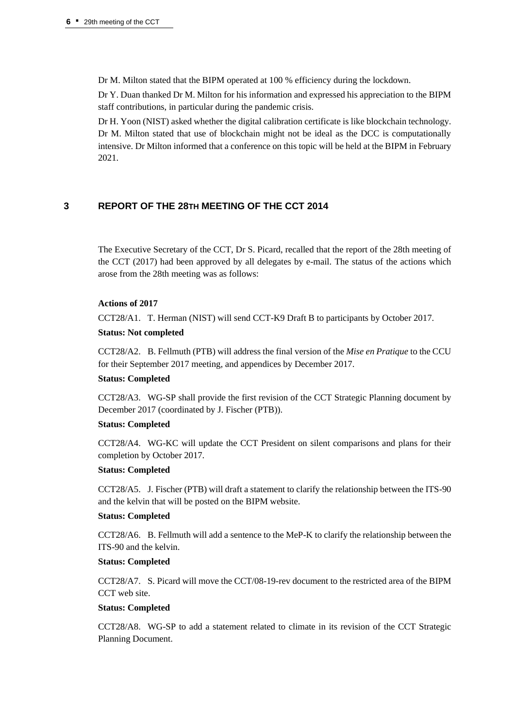Dr M. Milton stated that the BIPM operated at 100 % efficiency during the lockdown.

Dr Y. Duan thanked Dr M. Milton for his information and expressed his appreciation to the BIPM staff contributions, in particular during the pandemic crisis.

Dr H. Yoon (NIST) asked whether the digital calibration certificate is like blockchain technology. Dr M. Milton stated that use of blockchain might not be ideal as the DCC is computationally intensive. Dr Milton informed that a conference on this topic will be held at the BIPM in February 2021.

## **3 REPORT OF THE 28TH MEETING OF THE CCT 2014**

The Executive Secretary of the CCT, Dr S. Picard, recalled that the report of the 28th meeting of the CCT (2017) had been approved by all delegates by e-mail. The status of the actions which arose from the 28th meeting was as follows:

#### **Actions of 2017**

CCT28/A1. T. Herman (NIST) will send CCT-K9 Draft B to participants by October 2017.

#### **Status: Not completed**

CCT28/A2. B. Fellmuth (PTB) will address the final version of the *Mise en Pratique* to the CCU for their September 2017 meeting, and appendices by December 2017.

#### **Status: Completed**

CCT28/A3. WG-SP shall provide the first revision of the CCT Strategic Planning document by December 2017 (coordinated by J. Fischer (PTB)).

#### **Status: Completed**

CCT28/A4. WG-KC will update the CCT President on silent comparisons and plans for their completion by October 2017.

#### **Status: Completed**

CCT28/A5. J. Fischer (PTB) will draft a statement to clarify the relationship between the ITS-90 and the kelvin that will be posted on the BIPM website.

#### **Status: Completed**

CCT28/A6. B. Fellmuth will add a sentence to the MeP-K to clarify the relationship between the ITS-90 and the kelvin.

#### **Status: Completed**

CCT28/A7. S. Picard will move the CCT/08-19-rev document to the restricted area of the BIPM CCT web site.

#### **Status: Completed**

CCT28/A8. WG-SP to add a statement related to climate in its revision of the CCT Strategic Planning Document.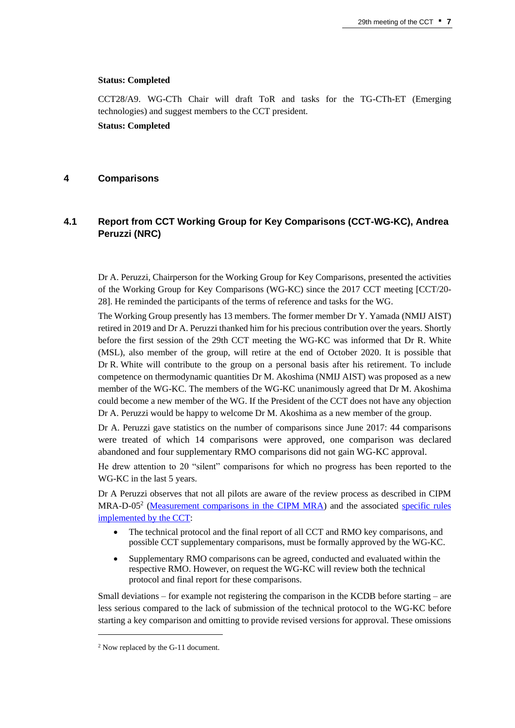#### **Status: Completed**

CCT28/A9. WG-CTh Chair will draft ToR and tasks for the TG-CTh-ET (Emerging technologies) and suggest members to the CCT president. **Status: Completed**

#### **4 Comparisons**

# **4.1 Report from CCT Working Group for Key Comparisons (CCT-WG-KC), Andrea Peruzzi (NRC)**

Dr A. Peruzzi, Chairperson for the Working Group for Key Comparisons, presented the activities of the Working Group for Key Comparisons (WG-KC) since the 2017 CCT meeting [CCT/20- 28]. He reminded the participants of the terms of reference and tasks for the WG.

The Working Group presently has 13 members. The former member Dr Y. Yamada (NMIJ AIST) retired in 2019 and Dr A. Peruzzi thanked him for his precious contribution over the years. Shortly before the first session of the 29th CCT meeting the WG-KC was informed that Dr R. White (MSL), also member of the group, will retire at the end of October 2020. It is possible that Dr R. White will contribute to the group on a personal basis after his retirement. To include competence on thermodynamic quantities Dr M. Akoshima (NMIJ AIST) was proposed as a new member of the WG-KC. The members of the WG-KC unanimously agreed that Dr M. Akoshima could become a new member of the WG. If the President of the CCT does not have any objection Dr A. Peruzzi would be happy to welcome Dr M. Akoshima as a new member of the group.

Dr A. Peruzzi gave statistics on the number of comparisons since June 2017: 44 comparisons were treated of which 14 comparisons were approved, one comparison was declared abandoned and four supplementary RMO comparisons did not gain WG-KC approval.

He drew attention to 20 "silent" comparisons for which no progress has been reported to the WG-KC in the last 5 years.

Dr A Peruzzi observes that not all pilots are aware of the review process as described in CIPM MRA-D-05<sup>2</sup> [\(Measurement comparisons in the CIPM MRA\)](https://www.bipm.org/documents/20126/43742162/CIPM-MRA-G-11.pdf/9fe6fb9a-500c-9995-2911-342f8126226c) and the associated specific rules [implemented by the CCT:](https://www.bipm.org/en/committees/cc/cct/wg/cct-wg-kc)

- The technical protocol and the final report of all CCT and RMO key comparisons, and possible CCT supplementary comparisons, must be formally approved by the WG-KC.
- Supplementary RMO comparisons can be agreed, conducted and evaluated within the respective RMO. However, on request the WG-KC will review both the technical protocol and final report for these comparisons.

Small deviations – for example not registering the comparison in the KCDB before starting – are less serious compared to the lack of submission of the technical protocol to the WG-KC before starting a key comparison and omitting to provide revised versions for approval. These omissions

<sup>2</sup> Now replaced by the G-11 document.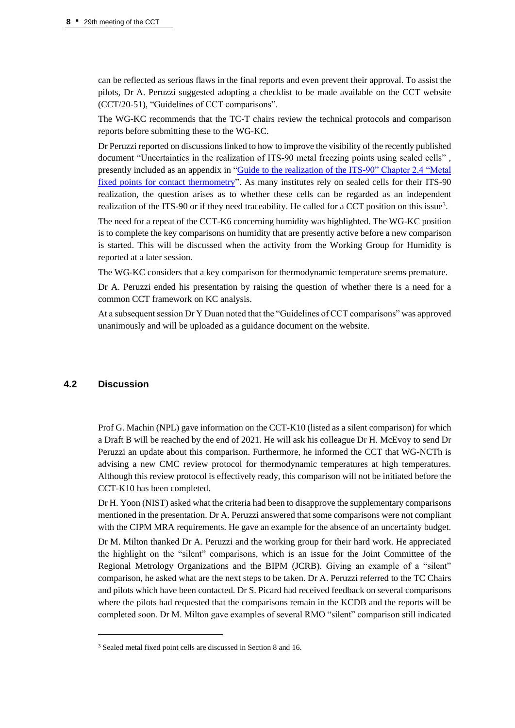can be reflected as serious flaws in the final reports and even prevent their approval. To assist the pilots, Dr A. Peruzzi suggested adopting a checklist to be made available on the CCT website (CCT/20-51), "Guidelines of CCT comparisons".

The WG-KC recommends that the TC-T chairs review the technical protocols and comparison reports before submitting these to the WG-KC.

Dr Peruzzi reported on discussions linked to how to improve the visibility of the recently published document "Uncertainties in the realization of ITS-90 metal freezing points using sealed cells" , presently included as an appendix in "Guide to the realization of the ITS-90" Chapter 2.4 "Metal [fixed points for contact thermometry"](https://www.bipm.org/documents/20126/41773843/Guide_ITS-90_2_4_MetalFixedPoints_2018.pdf/665aff3f-b72e-0e28-c520-89197232a06e). As many institutes rely on sealed cells for their ITS-90 realization, the question arises as to whether these cells can be regarded as an independent realization of the ITS-90 or if they need traceability. He called for a CCT position on this issue<sup>3</sup>.

The need for a repeat of the CCT-K6 concerning humidity was highlighted. The WG-KC position is to complete the key comparisons on humidity that are presently active before a new comparison is started. This will be discussed when the activity from the Working Group for Humidity is reported at a later session.

The WG-KC considers that a key comparison for thermodynamic temperature seems premature.

Dr A. Peruzzi ended his presentation by raising the question of whether there is a need for a common CCT framework on KC analysis.

At a subsequent session Dr Y Duan noted that the "Guidelines of CCT comparisons" was approved unanimously and will be uploaded as a guidance document on the website.

## **4.2 Discussion**

Prof G. Machin (NPL) gave information on the CCT-K10 (listed as a silent comparison) for which a Draft B will be reached by the end of 2021. He will ask his colleague Dr H. McEvoy to send Dr Peruzzi an update about this comparison. Furthermore, he informed the CCT that WG-NCTh is advising a new CMC review protocol for thermodynamic temperatures at high temperatures. Although this review protocol is effectively ready, this comparison will not be initiated before the CCT-K10 has been completed.

Dr H. Yoon (NIST) asked what the criteria had been to disapprove the supplementary comparisons mentioned in the presentation. Dr A. Peruzzi answered that some comparisons were not compliant with the CIPM MRA requirements. He gave an example for the absence of an uncertainty budget.

Dr M. Milton thanked Dr A. Peruzzi and the working group for their hard work. He appreciated the highlight on the "silent" comparisons, which is an issue for the Joint Committee of the Regional Metrology Organizations and the BIPM (JCRB). Giving an example of a "silent" comparison, he asked what are the next steps to be taken. Dr A. Peruzzi referred to the TC Chairs and pilots which have been contacted. Dr S. Picard had received feedback on several comparisons where the pilots had requested that the comparisons remain in the KCDB and the reports will be completed soon. Dr M. Milton gave examples of several RMO "silent" comparison still indicated

<sup>3</sup> Sealed metal fixed point cells are discussed in Section 8 and 16.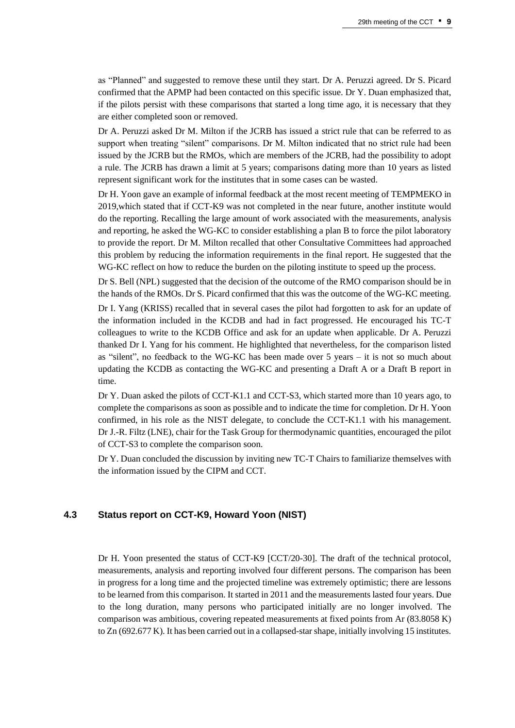as "Planned" and suggested to remove these until they start. Dr A. Peruzzi agreed. Dr S. Picard confirmed that the APMP had been contacted on this specific issue. Dr Y. Duan emphasized that, if the pilots persist with these comparisons that started a long time ago, it is necessary that they are either completed soon or removed.

Dr A. Peruzzi asked Dr M. Milton if the JCRB has issued a strict rule that can be referred to as support when treating "silent" comparisons. Dr M. Milton indicated that no strict rule had been issued by the JCRB but the RMOs, which are members of the JCRB, had the possibility to adopt a rule. The JCRB has drawn a limit at 5 years; comparisons dating more than 10 years as listed represent significant work for the institutes that in some cases can be wasted.

Dr H. Yoon gave an example of informal feedback at the most recent meeting of TEMPMEKO in 2019,which stated that if CCT-K9 was not completed in the near future, another institute would do the reporting. Recalling the large amount of work associated with the measurements, analysis and reporting, he asked the WG-KC to consider establishing a plan B to force the pilot laboratory to provide the report. Dr M. Milton recalled that other Consultative Committees had approached this problem by reducing the information requirements in the final report. He suggested that the WG-KC reflect on how to reduce the burden on the piloting institute to speed up the process.

Dr S. Bell (NPL) suggested that the decision of the outcome of the RMO comparison should be in the hands of the RMOs. Dr S. Picard confirmed that this was the outcome of the WG-KC meeting.

Dr I. Yang (KRISS) recalled that in several cases the pilot had forgotten to ask for an update of the information included in the KCDB and had in fact progressed. He encouraged his TC-T colleagues to write to the KCDB Office and ask for an update when applicable. Dr A. Peruzzi thanked Dr I. Yang for his comment. He highlighted that nevertheless, for the comparison listed as "silent", no feedback to the WG-KC has been made over 5 years – it is not so much about updating the KCDB as contacting the WG-KC and presenting a Draft A or a Draft B report in time.

Dr Y. Duan asked the pilots of CCT-K1.1 and CCT-S3, which started more than 10 years ago, to complete the comparisons as soon as possible and to indicate the time for completion. Dr H. Yoon confirmed, in his role as the NIST delegate, to conclude the CCT-K1.1 with his management. Dr J.-R. Filtz (LNE), chair for the Task Group for thermodynamic quantities, encouraged the pilot of CCT-S3 to complete the comparison soon.

Dr Y. Duan concluded the discussion by inviting new TC-T Chairs to familiarize themselves with the information issued by the CIPM and CCT.

## **4.3 Status report on CCT-K9, Howard Yoon (NIST)**

Dr H. Yoon presented the status of CCT-K9 [CCT/20-30]. The draft of the technical protocol, measurements, analysis and reporting involved four different persons. The comparison has been in progress for a long time and the projected timeline was extremely optimistic; there are lessons to be learned from this comparison. It started in 2011 and the measurements lasted four years. Due to the long duration, many persons who participated initially are no longer involved. The comparison was ambitious, covering repeated measurements at fixed points from Ar (83.8058 K) to Zn (692.677 K). It has been carried out in a collapsed-star shape, initially involving 15 institutes.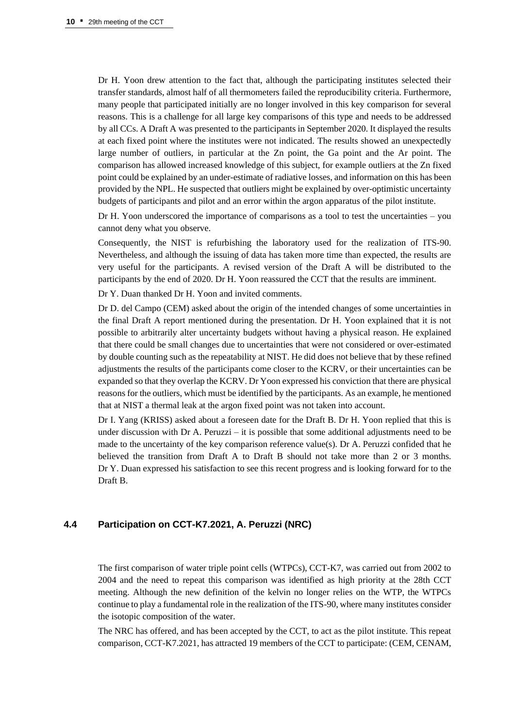Dr H. Yoon drew attention to the fact that, although the participating institutes selected their transfer standards, almost half of all thermometers failed the reproducibility criteria. Furthermore, many people that participated initially are no longer involved in this key comparison for several reasons. This is a challenge for all large key comparisons of this type and needs to be addressed by all CCs. A Draft A was presented to the participants in September 2020. It displayed the results at each fixed point where the institutes were not indicated. The results showed an unexpectedly large number of outliers, in particular at the Zn point, the Ga point and the Ar point. The comparison has allowed increased knowledge of this subject, for example outliers at the Zn fixed point could be explained by an under-estimate of radiative losses, and information on this has been provided by the NPL. He suspected that outliers might be explained by over-optimistic uncertainty budgets of participants and pilot and an error within the argon apparatus of the pilot institute.

Dr H. Yoon underscored the importance of comparisons as a tool to test the uncertainties – you cannot deny what you observe.

Consequently, the NIST is refurbishing the laboratory used for the realization of ITS-90. Nevertheless, and although the issuing of data has taken more time than expected, the results are very useful for the participants. A revised version of the Draft A will be distributed to the participants by the end of 2020. Dr H. Yoon reassured the CCT that the results are imminent.

Dr Y. Duan thanked Dr H. Yoon and invited comments.

Dr D. del Campo (CEM) asked about the origin of the intended changes of some uncertainties in the final Draft A report mentioned during the presentation. Dr H. Yoon explained that it is not possible to arbitrarily alter uncertainty budgets without having a physical reason. He explained that there could be small changes due to uncertainties that were not considered or over-estimated by double counting such as the repeatability at NIST. He did does not believe that by these refined adjustments the results of the participants come closer to the KCRV, or their uncertainties can be expanded so that they overlap the KCRV. Dr Yoon expressed his conviction that there are physical reasons for the outliers, which must be identified by the participants. As an example, he mentioned that at NIST a thermal leak at the argon fixed point was not taken into account.

Dr I. Yang (KRISS) asked about a foreseen date for the Draft B. Dr H. Yoon replied that this is under discussion with Dr A. Peruzzi – it is possible that some additional adjustments need to be made to the uncertainty of the key comparison reference value(s). Dr A. Peruzzi confided that he believed the transition from Draft A to Draft B should not take more than 2 or 3 months. Dr Y. Duan expressed his satisfaction to see this recent progress and is looking forward for to the Draft B.

## **4.4 Participation on CCT-K7.2021, A. Peruzzi (NRC)**

The first comparison of water triple point cells (WTPCs), CCT-K7, was carried out from 2002 to 2004 and the need to repeat this comparison was identified as high priority at the 28th CCT meeting. Although the new definition of the kelvin no longer relies on the WTP, the WTPCs continue to play a fundamental role in the realization of the ITS-90, where many institutes consider the isotopic composition of the water.

The NRC has offered, and has been accepted by the CCT, to act as the pilot institute. This repeat comparison, CCT-K7.2021, has attracted 19 members of the CCT to participate: (CEM, CENAM,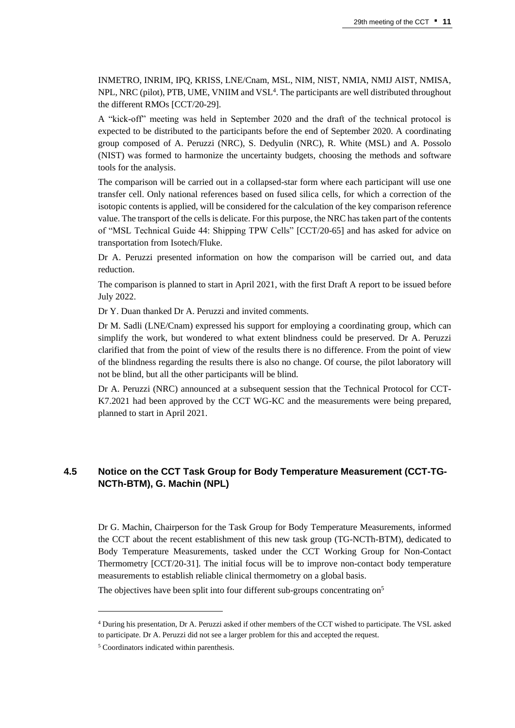INMETRO, INRIM, IPQ, KRISS, LNE/Cnam, MSL, NIM, NIST, NMIA, NMIJ AIST, NMISA, NPL, NRC (pilot), PTB, UME, VNIIM and VSL $^4$ . The participants are well distributed throughout the different RMOs [CCT/20-29].

A "kick-off" meeting was held in September 2020 and the draft of the technical protocol is expected to be distributed to the participants before the end of September 2020. A coordinating group composed of A. Peruzzi (NRC), S. Dedyulin (NRC), R. White (MSL) and A. Possolo (NIST) was formed to harmonize the uncertainty budgets, choosing the methods and software tools for the analysis.

The comparison will be carried out in a collapsed-star form where each participant will use one transfer cell. Only national references based on fused silica cells, for which a correction of the isotopic contents is applied, will be considered for the calculation of the key comparison reference value. The transport of the cells is delicate. For this purpose, the NRC has taken part of the contents of "MSL Technical Guide 44: Shipping TPW Cells" [CCT/20-65] and has asked for advice on transportation from Isotech/Fluke.

Dr A. Peruzzi presented information on how the comparison will be carried out, and data reduction.

The comparison is planned to start in April 2021, with the first Draft A report to be issued before July 2022.

Dr Y. Duan thanked Dr A. Peruzzi and invited comments.

Dr M. Sadli (LNE/Cnam) expressed his support for employing a coordinating group, which can simplify the work, but wondered to what extent blindness could be preserved. Dr A. Peruzzi clarified that from the point of view of the results there is no difference. From the point of view of the blindness regarding the results there is also no change. Of course, the pilot laboratory will not be blind, but all the other participants will be blind.

Dr A. Peruzzi (NRC) announced at a subsequent session that the Technical Protocol for CCT-K7.2021 had been approved by the CCT WG-KC and the measurements were being prepared, planned to start in April 2021.

## **4.5 Notice on the CCT Task Group for Body Temperature Measurement (CCT-TG-NCTh-BTM), G. Machin (NPL)**

Dr G. Machin, Chairperson for the Task Group for Body Temperature Measurements, informed the CCT about the recent establishment of this new task group (TG-NCTh-BTM), dedicated to Body Temperature Measurements, tasked under the CCT Working Group for Non-Contact Thermometry [CCT/20-31]. The initial focus will be to improve non-contact body temperature measurements to establish reliable clinical thermometry on a global basis.

The objectives have been split into four different sub-groups concentrating on<sup>5</sup>

<sup>4</sup> During his presentation, Dr A. Peruzzi asked if other members of the CCT wished to participate. The VSL asked to participate. Dr A. Peruzzi did not see a larger problem for this and accepted the request.

<sup>5</sup> Coordinators indicated within parenthesis.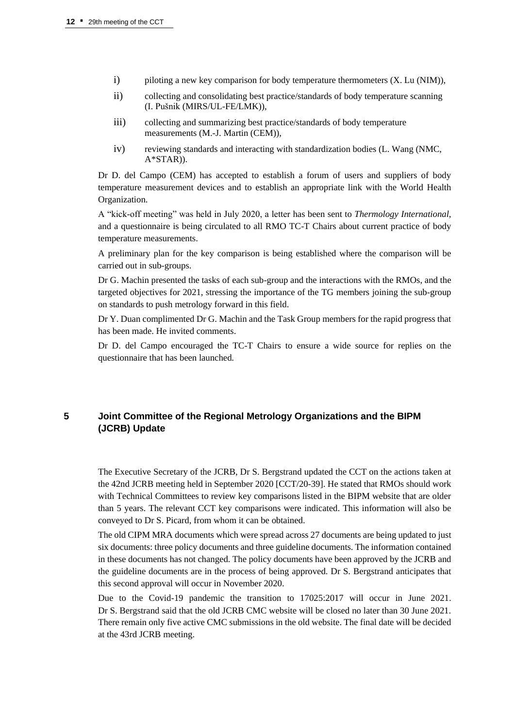- i) piloting a new key comparison for body temperature thermometers (X. Lu (NIM)),
- ii) collecting and consolidating best practice/standards of body temperature scanning (I. Pušnik (MIRS/UL-FE/LMK)),
- iii) collecting and summarizing best practice/standards of body temperature measurements (M.-J. Martin (CEM)),
- iv) reviewing standards and interacting with standardization bodies (L. Wang (NMC, A\*STAR)).

Dr D. del Campo (CEM) has accepted to establish a forum of users and suppliers of body temperature measurement devices and to establish an appropriate link with the World Health Organization.

A "kick-off meeting" was held in July 2020, a letter has been sent to *Thermology International*, and a questionnaire is being circulated to all RMO TC-T Chairs about current practice of body temperature measurements.

A preliminary plan for the key comparison is being established where the comparison will be carried out in sub-groups.

Dr G. Machin presented the tasks of each sub-group and the interactions with the RMOs, and the targeted objectives for 2021, stressing the importance of the TG members joining the sub-group on standards to push metrology forward in this field.

Dr Y. Duan complimented Dr G. Machin and the Task Group members for the rapid progress that has been made. He invited comments.

Dr D. del Campo encouraged the TC-T Chairs to ensure a wide source for replies on the questionnaire that has been launched.

# **5 Joint Committee of the Regional Metrology Organizations and the BIPM (JCRB) Update**

The Executive Secretary of the JCRB, Dr S. Bergstrand updated the CCT on the actions taken at the 42nd JCRB meeting held in September 2020 [CCT/20-39]. He stated that RMOs should work with Technical Committees to review key comparisons listed in the BIPM website that are older than 5 years. The relevant CCT key comparisons were indicated. This information will also be conveyed to Dr S. Picard, from whom it can be obtained.

The old CIPM MRA documents which were spread across 27 documents are being updated to just six documents: three policy documents and three guideline documents. The information contained in these documents has not changed. The policy documents have been approved by the JCRB and the guideline documents are in the process of being approved. Dr S. Bergstrand anticipates that this second approval will occur in November 2020.

Due to the Covid-19 pandemic the transition to 17025:2017 will occur in June 2021. Dr S. Bergstrand said that the old JCRB CMC website will be closed no later than 30 June 2021. There remain only five active CMC submissions in the old website. The final date will be decided at the 43rd JCRB meeting.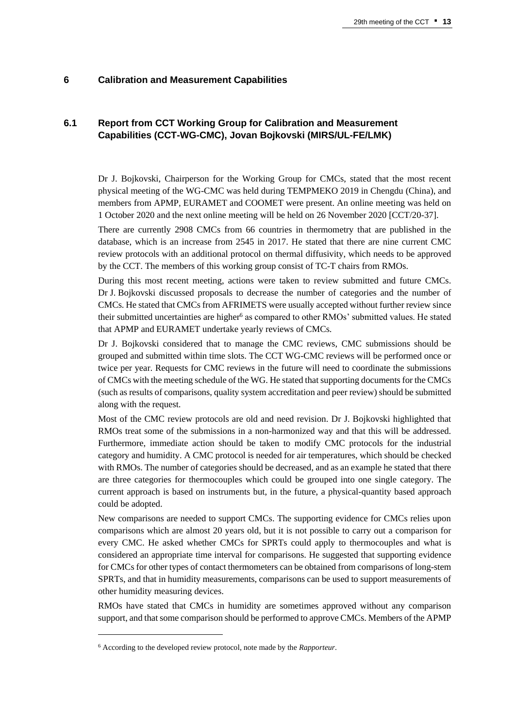#### **6 Calibration and Measurement Capabilities**

# **6.1 Report from CCT Working Group for Calibration and Measurement Capabilities (CCT-WG-CMC), Jovan Bojkovski (MIRS/UL-FE/LMK)**

Dr J. Bojkovski, Chairperson for the Working Group for CMCs, stated that the most recent physical meeting of the WG-CMC was held during TEMPMEKO 2019 in Chengdu (China), and members from APMP, EURAMET and COOMET were present. An online meeting was held on 1 October 2020 and the next online meeting will be held on 26 November 2020 [CCT/20-37].

There are currently 2908 CMCs from 66 countries in thermometry that are published in the database, which is an increase from 2545 in 2017. He stated that there are nine current CMC review protocols with an additional protocol on thermal diffusivity, which needs to be approved by the CCT. The members of this working group consist of TC-T chairs from RMOs.

During this most recent meeting, actions were taken to review submitted and future CMCs. Dr J. Bojkovski discussed proposals to decrease the number of categories and the number of CMCs. He stated that CMCs from AFRIMETS were usually accepted without further review since their submitted uncertainties are higher<sup>6</sup> as compared to other RMOs' submitted values. He stated that APMP and EURAMET undertake yearly reviews of CMCs.

Dr J. Bojkovski considered that to manage the CMC reviews, CMC submissions should be grouped and submitted within time slots. The CCT WG-CMC reviews will be performed once or twice per year. Requests for CMC reviews in the future will need to coordinate the submissions of CMCs with the meeting schedule of the WG. He stated that supporting documents for the CMCs (such as results of comparisons, quality system accreditation and peer review) should be submitted along with the request.

Most of the CMC review protocols are old and need revision. Dr J. Bojkovski highlighted that RMOs treat some of the submissions in a non-harmonized way and that this will be addressed. Furthermore, immediate action should be taken to modify CMC protocols for the industrial category and humidity. A CMC protocol is needed for air temperatures, which should be checked with RMOs. The number of categories should be decreased, and as an example he stated that there are three categories for thermocouples which could be grouped into one single category. The current approach is based on instruments but, in the future, a physical-quantity based approach could be adopted.

New comparisons are needed to support CMCs. The supporting evidence for CMCs relies upon comparisons which are almost 20 years old, but it is not possible to carry out a comparison for every CMC. He asked whether CMCs for SPRTs could apply to thermocouples and what is considered an appropriate time interval for comparisons. He suggested that supporting evidence for CMCs for other types of contact thermometers can be obtained from comparisons of long-stem SPRTs, and that in humidity measurements, comparisons can be used to support measurements of other humidity measuring devices.

RMOs have stated that CMCs in humidity are sometimes approved without any comparison support, and that some comparison should be performed to approve CMCs. Members of the APMP

<sup>6</sup> According to the developed review protocol, note made by the *Rapporteur*.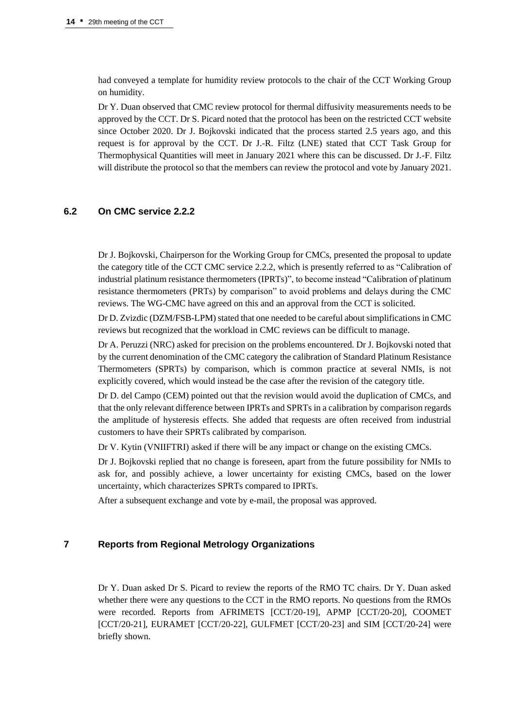had conveyed a template for humidity review protocols to the chair of the CCT Working Group on humidity.

Dr Y. Duan observed that CMC review protocol for thermal diffusivity measurements needs to be approved by the CCT. Dr S. Picard noted that the protocol has been on the restricted CCT website since October 2020. Dr J. Bojkovski indicated that the process started 2.5 years ago, and this request is for approval by the CCT. Dr J.-R. Filtz (LNE) stated that CCT Task Group for Thermophysical Quantities will meet in January 2021 where this can be discussed. Dr J.-F. Filtz will distribute the protocol so that the members can review the protocol and vote by January 2021.

#### **6.2 On CMC service 2.2.2**

Dr J. Bojkovski, Chairperson for the Working Group for CMCs, presented the proposal to update the category title of the CCT CMC service 2.2.2, which is presently referred to as "Calibration of industrial platinum resistance thermometers (IPRTs)", to become instead "Calibration of platinum resistance thermometers (PRTs) by comparison" to avoid problems and delays during the CMC reviews. The WG-CMC have agreed on this and an approval from the CCT is solicited.

Dr D. Zvizdic (DZM/FSB-LPM) stated that one needed to be careful about simplifications in CMC reviews but recognized that the workload in CMC reviews can be difficult to manage.

Dr A. Peruzzi (NRC) asked for precision on the problems encountered. Dr J. Bojkovski noted that by the current denomination of the CMC category the calibration of Standard Platinum Resistance Thermometers (SPRTs) by comparison, which is common practice at several NMIs, is not explicitly covered, which would instead be the case after the revision of the category title.

Dr D. del Campo (CEM) pointed out that the revision would avoid the duplication of CMCs, and that the only relevant difference between IPRTs and SPRTs in a calibration by comparison regards the amplitude of hysteresis effects. She added that requests are often received from industrial customers to have their SPRTs calibrated by comparison.

Dr V. Kytin (VNIIFTRI) asked if there will be any impact or change on the existing CMCs.

Dr J. Bojkovski replied that no change is foreseen, apart from the future possibility for NMIs to ask for, and possibly achieve, a lower uncertainty for existing CMCs, based on the lower uncertainty, which characterizes SPRTs compared to IPRTs.

After a subsequent exchange and vote by e-mail, the proposal was approved.

# **7 Reports from Regional Metrology Organizations**

Dr Y. Duan asked Dr S. Picard to review the reports of the RMO TC chairs. Dr Y. Duan asked whether there were any questions to the CCT in the RMO reports. No questions from the RMOs were recorded. Reports from AFRIMETS [CCT/20-19], APMP [CCT/20-20], COOMET [CCT/20-21], EURAMET [CCT/20-22], GULFMET [CCT/20-23] and SIM [CCT/20-24] were briefly shown.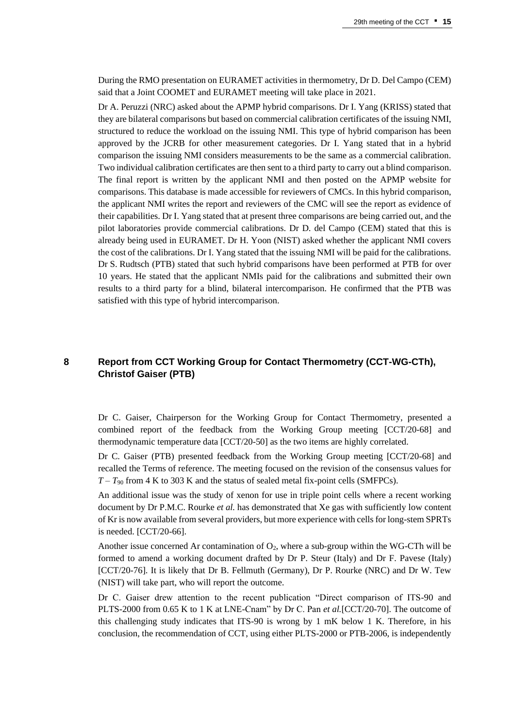During the RMO presentation on EURAMET activities in thermometry, Dr D. Del Campo (CEM) said that a Joint COOMET and EURAMET meeting will take place in 2021.

Dr A. Peruzzi (NRC) asked about the APMP hybrid comparisons. Dr I. Yang (KRISS) stated that they are bilateral comparisons but based on commercial calibration certificates of the issuing NMI, structured to reduce the workload on the issuing NMI. This type of hybrid comparison has been approved by the JCRB for other measurement categories. Dr I. Yang stated that in a hybrid comparison the issuing NMI considers measurements to be the same as a commercial calibration. Two individual calibration certificates are then sent to a third party to carry out a blind comparison. The final report is written by the applicant NMI and then posted on the APMP website for comparisons. This database is made accessible for reviewers of CMCs. In this hybrid comparison, the applicant NMI writes the report and reviewers of the CMC will see the report as evidence of their capabilities. Dr I. Yang stated that at present three comparisons are being carried out, and the pilot laboratories provide commercial calibrations. Dr D. del Campo (CEM) stated that this is already being used in EURAMET. Dr H. Yoon (NIST) asked whether the applicant NMI covers the cost of the calibrations. Dr I. Yang stated that the issuing NMI will be paid for the calibrations. Dr S. Rudtsch (PTB) stated that such hybrid comparisons have been performed at PTB for over 10 years. He stated that the applicant NMIs paid for the calibrations and submitted their own results to a third party for a blind, bilateral intercomparison. He confirmed that the PTB was satisfied with this type of hybrid intercomparison.

# **8 Report from CCT Working Group for Contact Thermometry (CCT-WG-CTh), Christof Gaiser (PTB)**

Dr C. Gaiser, Chairperson for the Working Group for Contact Thermometry, presented a combined report of the feedback from the Working Group meeting [CCT/20-68] and thermodynamic temperature data [CCT/20-50] as the two items are highly correlated.

Dr C. Gaiser (PTB) presented feedback from the Working Group meeting [CCT/20-68] and recalled the Terms of reference. The meeting focused on the revision of the consensus values for  $T - T_{90}$  from 4 K to 303 K and the status of sealed metal fix-point cells (SMFPCs).

An additional issue was the study of xenon for use in triple point cells where a recent working document by Dr P.M.C. Rourke *et al.* has demonstrated that Xe gas with sufficiently low content of Kr is now available from several providers, but more experience with cells for long-stem SPRTs is needed. [CCT/20-66].

Another issue concerned Ar contamination of  $O<sub>2</sub>$ , where a sub-group within the WG-CTh will be formed to amend a working document drafted by Dr P. Steur (Italy) and Dr F. Pavese (Italy) [CCT/20-76]. It is likely that Dr B. Fellmuth (Germany), Dr P. Rourke (NRC) and Dr W. Tew (NIST) will take part, who will report the outcome.

Dr C. Gaiser drew attention to the recent publication "Direct comparison of ITS-90 and PLTS-2000 from 0.65 K to 1 K at LNE-Cnam" by Dr C. Pan *et al.*[CCT/20-70]. The outcome of this challenging study indicates that ITS-90 is wrong by 1 mK below 1 K. Therefore, in his conclusion, the recommendation of CCT, using either PLTS-2000 or PTB-2006, is independently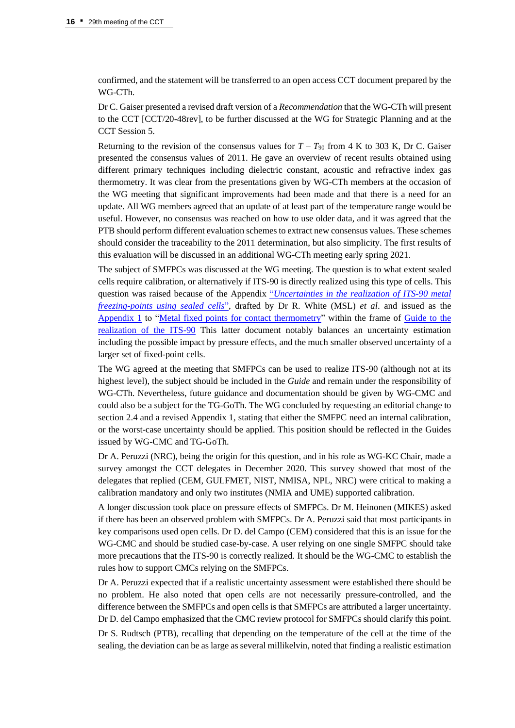confirmed, and the statement will be transferred to an open access CCT document prepared by the WG-CTh.

Dr C. Gaiser presented a revised draft version of a *Recommendation* that the WG-CTh will present to the CCT [CCT/20-48rev], to be further discussed at the WG for Strategic Planning and at the CCT Session 5.

Returning to the revision of the consensus values for  $T - T_{90}$  from 4 K to 303 K, Dr C. Gaiser presented the consensus values of 2011. He gave an overview of recent results obtained using different primary techniques including dielectric constant, acoustic and refractive index gas thermometry. It was clear from the presentations given by WG-CTh members at the occasion of the WG meeting that significant improvements had been made and that there is a need for an update. All WG members agreed that an update of at least part of the temperature range would be useful. However, no consensus was reached on how to use older data, and it was agreed that the PTB should perform different evaluation schemes to extract new consensus values. These schemes should consider the traceability to the 2011 determination, but also simplicity. The first results of this evaluation will be discussed in an additional WG-CTh meeting early spring 2021.

The subject of SMFPCs was discussed at the WG meeting. The question is to what extent sealed cells require calibration, or alternatively if ITS-90 is directly realized using this type of cells. This question was raised because of the Appendix "*[Uncertainties in the realization of ITS-90 metal](https://www.bipm.org/documents/20126/41773843/Guide_ITS-90_2_4_MetalFixedPoints_Appendix-1_2018.pdf/792eb42d-d98c-9e35-78b4-c7fafb1394f9)  [freezing-points using sealed cells](https://www.bipm.org/documents/20126/41773843/Guide_ITS-90_2_4_MetalFixedPoints_Appendix-1_2018.pdf/792eb42d-d98c-9e35-78b4-c7fafb1394f9)*", drafted by Dr R. White (MSL) *et al*. and issued as the [Appendix 1](https://www.bipm.org/documents/20126/41773843/Guide_ITS-90_2_4_MetalFixedPoints_Appendix-1_2018.pdf/792eb42d-d98c-9e35-78b4-c7fafb1394f9) to ["Metal fixed points for contact thermometry"](https://www.bipm.org/documents/20126/41773843/Guide_ITS-90_2_4_MetalFixedPoints_2018.pdf/665aff3f-b72e-0e28-c520-89197232a06e) within the frame of [Guide to the](https://www.bipm.org/en/committees/cc/cct/guides-to-thermometry)  [realization of the ITS-90](https://www.bipm.org/en/committees/cc/cct/guides-to-thermometry) This latter document notably balances an uncertainty estimation including the possible impact by pressure effects, and the much smaller observed uncertainty of a larger set of fixed-point cells.

The WG agreed at the meeting that SMFPCs can be used to realize ITS-90 (although not at its highest level), the subject should be included in the *Guide* and remain under the responsibility of WG-CTh. Nevertheless, future guidance and documentation should be given by WG-CMC and could also be a subject for the TG-GoTh. The WG concluded by requesting an editorial change to section 2.4 and a revised Appendix 1, stating that either the SMFPC need an internal calibration, or the worst-case uncertainty should be applied. This position should be reflected in the Guides issued by WG-CMC and TG-GoTh.

Dr A. Peruzzi (NRC), being the origin for this question, and in his role as WG-KC Chair, made a survey amongst the CCT delegates in December 2020. This survey showed that most of the delegates that replied (CEM, GULFMET, NIST, NMISA, NPL, NRC) were critical to making a calibration mandatory and only two institutes (NMIA and UME) supported calibration.

A longer discussion took place on pressure effects of SMFPCs. Dr M. Heinonen (MIKES) asked if there has been an observed problem with SMFPCs. Dr A. Peruzzi said that most participants in key comparisons used open cells. Dr D. del Campo (CEM) considered that this is an issue for the WG-CMC and should be studied case-by-case. A user relying on one single SMFPC should take more precautions that the ITS-90 is correctly realized. It should be the WG-CMC to establish the rules how to support CMCs relying on the SMFPCs.

Dr A. Peruzzi expected that if a realistic uncertainty assessment were established there should be no problem. He also noted that open cells are not necessarily pressure-controlled, and the difference between the SMFPCs and open cells is that SMFPCs are attributed a larger uncertainty. Dr D. del Campo emphasized that the CMC review protocol for SMFPCs should clarify this point.

Dr S. Rudtsch (PTB), recalling that depending on the temperature of the cell at the time of the sealing, the deviation can be as large as several millikelvin, noted that finding a realistic estimation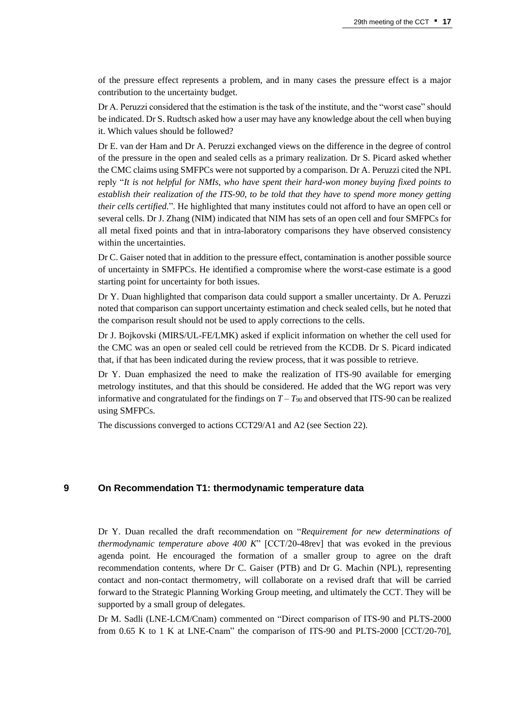of the pressure effect represents a problem, and in many cases the pressure effect is a major contribution to the uncertainty budget.

Dr A. Peruzzi considered that the estimation is the task of the institute, and the "worst case" should be indicated. Dr S. Rudtsch asked how a user may have any knowledge about the cell when buying it. Which values should be followed?

Dr E. van der Ham and Dr A. Peruzzi exchanged views on the difference in the degree of control of the pressure in the open and sealed cells as a primary realization. Dr S. Picard asked whether the CMC claims using SMFPCs were not supported by a comparison. Dr A. Peruzzi cited the NPL reply "*It is not helpful for NMIs, who have spent their hard-won money buying fixed points to establish their realization of the ITS-90, to be told that they have to spend more money getting their cells certified.*". He highlighted that many institutes could not afford to have an open cell or several cells. Dr J. Zhang (NIM) indicated that NIM has sets of an open cell and four SMFPCs for all metal fixed points and that in intra-laboratory comparisons they have observed consistency within the uncertainties.

Dr C. Gaiser noted that in addition to the pressure effect, contamination is another possible source of uncertainty in SMFPCs. He identified a compromise where the worst-case estimate is a good starting point for uncertainty for both issues.

Dr Y. Duan highlighted that comparison data could support a smaller uncertainty. Dr A. Peruzzi noted that comparison can support uncertainty estimation and check sealed cells, but he noted that the comparison result should not be used to apply corrections to the cells.

Dr J. Bojkovski (MIRS/UL-FE/LMK) asked if explicit information on whether the cell used for the CMC was an open or sealed cell could be retrieved from the KCDB. Dr S. Picard indicated that, if that has been indicated during the review process, that it was possible to retrieve.

Dr Y. Duan emphasized the need to make the realization of ITS-90 available for emerging metrology institutes, and that this should be considered. He added that the WG report was very informative and congratulated for the findings on  $T - T_{90}$  and observed that ITS-90 can be realized using SMFPCs.

The discussions converged to actions CCT29/A1 and A2 (see Section 22).

#### **9 On Recommendation T1: thermodynamic temperature data**

Dr Y. Duan recalled the draft recommendation on "*Requirement for new determinations of thermodynamic temperature above 400 K*" [CCT/20-48rev] that was evoked in the previous agenda point. He encouraged the formation of a smaller group to agree on the draft recommendation contents, where Dr C. Gaiser (PTB) and Dr G. Machin (NPL), representing contact and non-contact thermometry, will collaborate on a revised draft that will be carried forward to the Strategic Planning Working Group meeting, and ultimately the CCT. They will be supported by a small group of delegates.

Dr M. Sadli (LNE-LCM/Cnam) commented on "Direct comparison of ITS-90 and PLTS-2000 from 0.65 K to 1 K at LNE-Cnam" the comparison of ITS-90 and PLTS-2000 [CCT/20-70],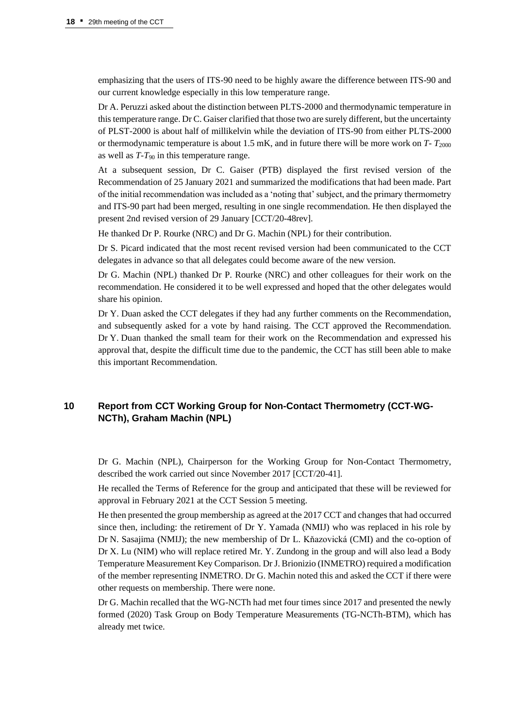emphasizing that the users of ITS-90 need to be highly aware the difference between ITS-90 and our current knowledge especially in this low temperature range.

Dr A. Peruzzi asked about the distinction between PLTS-2000 and thermodynamic temperature in this temperature range. Dr C. Gaiser clarified that those two are surely different, but the uncertainty of PLST-2000 is about half of millikelvin while the deviation of ITS-90 from either PLTS-2000 or thermodynamic temperature is about 1.5 mK, and in future there will be more work on *T*-  $T_{2000}$ as well as *T*-*T*<sup>90</sup> in this temperature range.

At a subsequent session, Dr C. Gaiser (PTB) displayed the first revised version of the Recommendation of 25 January 2021 and summarized the modifications that had been made. Part of the initial recommendation was included as a 'noting that' subject, and the primary thermometry and ITS-90 part had been merged, resulting in one single recommendation. He then displayed the present 2nd revised version of 29 January [CCT/20-48rev].

He thanked Dr P. Rourke (NRC) and Dr G. Machin (NPL) for their contribution.

Dr S. Picard indicated that the most recent revised version had been communicated to the CCT delegates in advance so that all delegates could become aware of the new version.

Dr G. Machin (NPL) thanked Dr P. Rourke (NRC) and other colleagues for their work on the recommendation. He considered it to be well expressed and hoped that the other delegates would share his opinion.

Dr Y. Duan asked the CCT delegates if they had any further comments on the Recommendation, and subsequently asked for a vote by hand raising. The CCT approved the Recommendation. Dr Y. Duan thanked the small team for their work on the Recommendation and expressed his approval that, despite the difficult time due to the pandemic, the CCT has still been able to make this important Recommendation.

# **10 Report from CCT Working Group for Non-Contact Thermometry (CCT-WG-NCTh), Graham Machin (NPL)**

Dr G. Machin (NPL), Chairperson for the Working Group for Non-Contact Thermometry, described the work carried out since November 2017 [CCT/20-41].

He recalled the Terms of Reference for the group and anticipated that these will be reviewed for approval in February 2021 at the CCT Session 5 meeting.

He then presented the group membership as agreed at the 2017 CCT and changes that had occurred since then, including: the retirement of Dr Y. Yamada (NMIJ) who was replaced in his role by Dr N. Sasajima (NMIJ); the new membership of Dr L. Kňazovická (CMI) and the co-option of Dr X. Lu (NIM) who will replace retired Mr. Y. Zundong in the group and will also lead a Body Temperature Measurement Key Comparison. Dr J. Brionizio (INMETRO) required a modification of the member representing INMETRO. Dr G. Machin noted this and asked the CCT if there were other requests on membership. There were none.

Dr G. Machin recalled that the WG-NCTh had met four times since 2017 and presented the newly formed (2020) Task Group on Body Temperature Measurements (TG-NCTh-BTM), which has already met twice.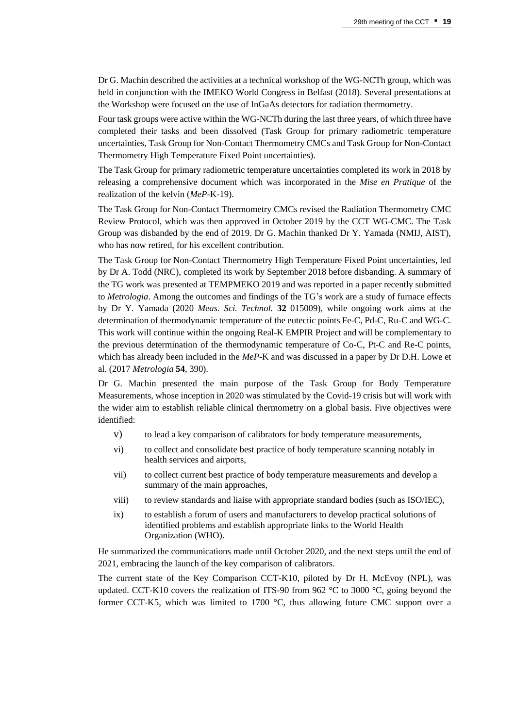Dr G. Machin described the activities at a technical workshop of the WG-NCTh group, which was held in conjunction with the IMEKO World Congress in Belfast (2018). Several presentations at the Workshop were focused on the use of InGaAs detectors for radiation thermometry.

Four task groups were active within the WG-NCTh during the last three years, of which three have completed their tasks and been dissolved (Task Group for primary radiometric temperature uncertainties, Task Group for Non-Contact Thermometry CMCs and Task Group for Non-Contact Thermometry High Temperature Fixed Point uncertainties).

The Task Group for primary radiometric temperature uncertainties completed its work in 2018 by releasing a comprehensive document which was incorporated in the *Mise en Pratique* of the realization of the kelvin (*MeP*-K-19).

The Task Group for Non-Contact Thermometry CMCs revised the Radiation Thermometry CMC Review Protocol, which was then approved in October 2019 by the CCT WG-CMC. The Task Group was disbanded by the end of 2019. Dr G. Machin thanked Dr Y. Yamada (NMIJ, AIST), who has now retired, for his excellent contribution.

The Task Group for Non-Contact Thermometry High Temperature Fixed Point uncertainties, led by Dr A. Todd (NRC), completed its work by September 2018 before disbanding. A summary of the TG work was presented at TEMPMEKO 2019 and was reported in a paper recently submitted to *Metrologia*. Among the outcomes and findings of the TG's work are a study of furnace effects by Dr Y. Yamada (2020 *Meas. Sci. Technol.* **32** 015009), while ongoing work aims at the determination of thermodynamic temperature of the eutectic points Fe-C, Pd-C, Ru-C and WG-C. This work will continue within the ongoing Real-K EMPIR Project and will be complementary to the previous determination of the thermodynamic temperature of Co-C, Pt-C and Re-C points, which has already been included in the *MeP*-K and was discussed in a paper by Dr D.H. Lowe et al. (2017 *Metrologia* **54**, 390).

Dr G. Machin presented the main purpose of the Task Group for Body Temperature Measurements, whose inception in 2020 was stimulated by the Covid-19 crisis but will work with the wider aim to establish reliable clinical thermometry on a global basis. Five objectives were identified:

- v) to lead a key comparison of calibrators for body temperature measurements,
- vi) to collect and consolidate best practice of body temperature scanning notably in health services and airports,
- vii) to collect current best practice of body temperature measurements and develop a summary of the main approaches,
- viii) to review standards and liaise with appropriate standard bodies (such as ISO/IEC),
- ix) to establish a forum of users and manufacturers to develop practical solutions of identified problems and establish appropriate links to the World Health Organization (WHO).

He summarized the communications made until October 2020, and the next steps until the end of 2021, embracing the launch of the key comparison of calibrators.

The current state of the Key Comparison CCT-K10, piloted by Dr H. McEvoy (NPL), was updated. CCT-K10 covers the realization of ITS-90 from 962 °C to 3000 °C, going beyond the former CCT-K5, which was limited to 1700 °C, thus allowing future CMC support over a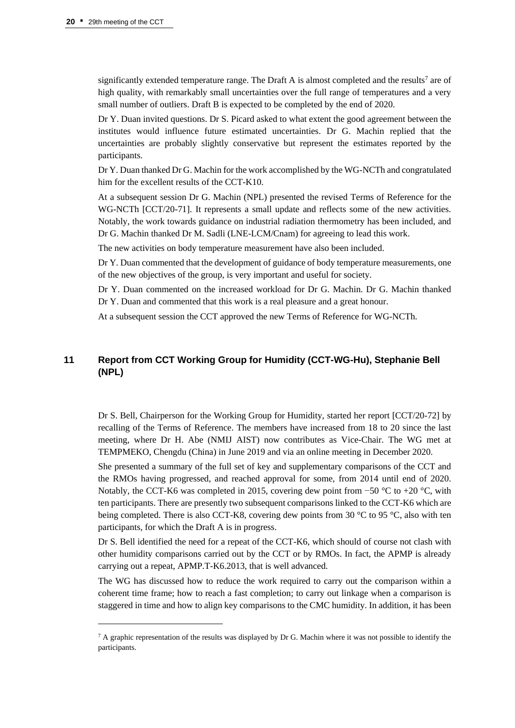significantly extended temperature range. The Draft A is almost completed and the results<sup>7</sup> are of high quality, with remarkably small uncertainties over the full range of temperatures and a very small number of outliers. Draft B is expected to be completed by the end of 2020.

Dr Y. Duan invited questions. Dr S. Picard asked to what extent the good agreement between the institutes would influence future estimated uncertainties. Dr G. Machin replied that the uncertainties are probably slightly conservative but represent the estimates reported by the participants.

Dr Y. Duan thanked Dr G. Machin for the work accomplished by the WG-NCTh and congratulated him for the excellent results of the CCT-K10.

At a subsequent session Dr G. Machin (NPL) presented the revised Terms of Reference for the WG-NCTh [CCT/20-71]. It represents a small update and reflects some of the new activities. Notably, the work towards guidance on industrial radiation thermometry has been included, and Dr G. Machin thanked Dr M. Sadli (LNE-LCM/Cnam) for agreeing to lead this work.

The new activities on body temperature measurement have also been included.

Dr Y. Duan commented that the development of guidance of body temperature measurements, one of the new objectives of the group, is very important and useful for society.

Dr Y. Duan commented on the increased workload for Dr G. Machin. Dr G. Machin thanked Dr Y. Duan and commented that this work is a real pleasure and a great honour.

At a subsequent session the CCT approved the new Terms of Reference for WG-NCTh.

# **11 Report from CCT Working Group for Humidity (CCT-WG-Hu), Stephanie Bell (NPL)**

Dr S. Bell, Chairperson for the Working Group for Humidity, started her report [CCT/20-72] by recalling of the Terms of Reference. The members have increased from 18 to 20 since the last meeting, where Dr H. Abe (NMIJ AIST) now contributes as Vice-Chair. The WG met at TEMPMEKO, Chengdu (China) in June 2019 and via an online meeting in December 2020.

She presented a summary of the full set of key and supplementary comparisons of the CCT and the RMOs having progressed, and reached approval for some, from 2014 until end of 2020. Notably, the CCT-K6 was completed in 2015, covering dew point from −50  $\degree$ C to +20  $\degree$ C, with ten participants. There are presently two subsequent comparisons linked to the CCT-K6 which are being completed. There is also CCT-K8, covering dew points from 30 °C to 95 °C, also with ten participants, for which the Draft A is in progress.

Dr S. Bell identified the need for a repeat of the CCT-K6, which should of course not clash with other humidity comparisons carried out by the CCT or by RMOs. In fact, the APMP is already carrying out a repeat, APMP.T-K6.2013, that is well advanced.

The WG has discussed how to reduce the work required to carry out the comparison within a coherent time frame; how to reach a fast completion; to carry out linkage when a comparison is staggered in time and how to align key comparisons to the CMC humidity. In addition, it has been

 $7 A$  graphic representation of the results was displayed by Dr G. Machin where it was not possible to identify the participants.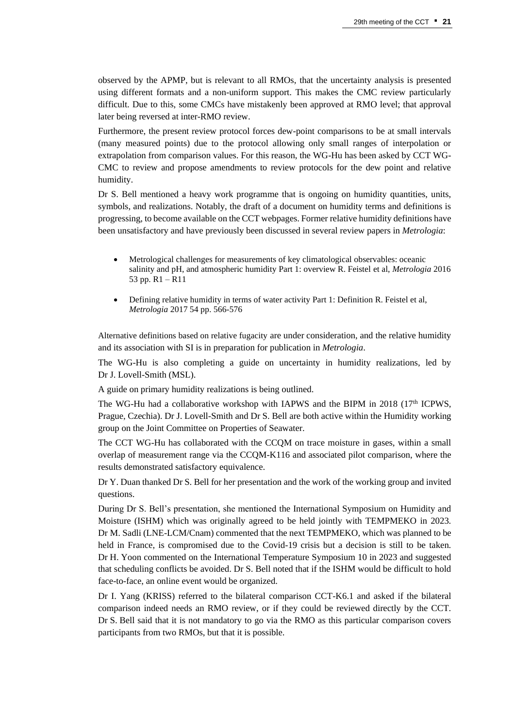observed by the APMP, but is relevant to all RMOs, that the uncertainty analysis is presented using different formats and a non-uniform support. This makes the CMC review particularly difficult. Due to this, some CMCs have mistakenly been approved at RMO level; that approval later being reversed at inter-RMO review.

Furthermore, the present review protocol forces dew-point comparisons to be at small intervals (many measured points) due to the protocol allowing only small ranges of interpolation or extrapolation from comparison values. For this reason, the WG-Hu has been asked by CCT WG-CMC to review and propose amendments to review protocols for the dew point and relative humidity.

Dr S. Bell mentioned a heavy work programme that is ongoing on humidity quantities, units, symbols, and realizations. Notably, the draft of a document on humidity terms and definitions is progressing, to become available on the CCT webpages. Former relative humidity definitions have been unsatisfactory and have previously been discussed in several review papers in *Metrologia*:

- Metrological challenges for measurements of key climatological observables: oceanic salinity and pH, and atmospheric humidity Part 1: overview R. Feistel et al, *Metrologia* 2016 53 pp. R1 – R11
- Defining relative humidity in terms of water activity Part 1: Definition R. Feistel et al, *Metrologia* 2017 54 pp. 566-576

Alternative definitions based on relative fugacity are under consideration, and the relative humidity and its association with SI is in preparation for publication in *Metrologia*.

The WG-Hu is also completing a guide on uncertainty in humidity realizations, led by Dr J. Lovell-Smith (MSL).

A guide on primary humidity realizations is being outlined.

The WG-Hu had a collaborative workshop with IAPWS and the BIPM in 2018  $(17<sup>th</sup> ICPWS,$ Prague, Czechia). Dr J. Lovell-Smith and Dr S. Bell are both active within the Humidity working group on the Joint Committee on Properties of Seawater.

The CCT WG-Hu has collaborated with the CCQM on trace moisture in gases, within a small overlap of measurement range via the CCQM-K116 and associated pilot comparison, where the results demonstrated satisfactory equivalence.

Dr Y. Duan thanked Dr S. Bell for her presentation and the work of the working group and invited questions.

During Dr S. Bell's presentation, she mentioned the International Symposium on Humidity and Moisture (ISHM) which was originally agreed to be held jointly with TEMPMEKO in 2023. Dr M. Sadli (LNE-LCM/Cnam) commented that the next TEMPMEKO, which was planned to be held in France, is compromised due to the Covid-19 crisis but a decision is still to be taken. Dr H. Yoon commented on the International Temperature Symposium 10 in 2023 and suggested that scheduling conflicts be avoided. Dr S. Bell noted that if the ISHM would be difficult to hold face-to-face, an online event would be organized.

Dr I. Yang (KRISS) referred to the bilateral comparison CCT-K6.1 and asked if the bilateral comparison indeed needs an RMO review, or if they could be reviewed directly by the CCT. Dr S. Bell said that it is not mandatory to go via the RMO as this particular comparison covers participants from two RMOs, but that it is possible.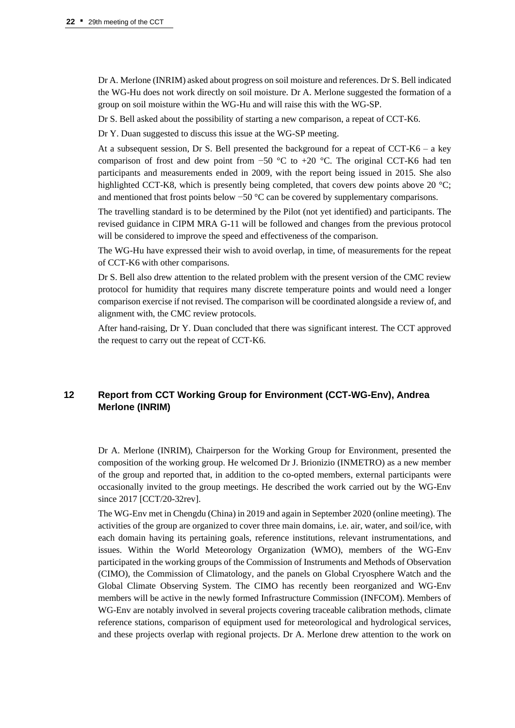Dr A. Merlone (INRIM) asked about progress on soil moisture and references. Dr S. Bell indicated the WG-Hu does not work directly on soil moisture. Dr A. Merlone suggested the formation of a group on soil moisture within the WG-Hu and will raise this with the WG-SP.

Dr S. Bell asked about the possibility of starting a new comparison, a repeat of CCT-K6.

Dr Y. Duan suggested to discuss this issue at the WG-SP meeting.

At a subsequent session, Dr S. Bell presented the background for a repeat of CCT-K6 – a key comparison of frost and dew point from  $-50$  °C to  $+20$  °C. The original CCT-K6 had ten participants and measurements ended in 2009, with the report being issued in 2015. She also highlighted CCT-K8, which is presently being completed, that covers dew points above 20 °C; and mentioned that frost points below −50 °C can be covered by supplementary comparisons.

The travelling standard is to be determined by the Pilot (not yet identified) and participants. The revised guidance in CIPM MRA G-11 will be followed and changes from the previous protocol will be considered to improve the speed and effectiveness of the comparison.

The WG-Hu have expressed their wish to avoid overlap, in time, of measurements for the repeat of CCT-K6 with other comparisons.

Dr S. Bell also drew attention to the related problem with the present version of the CMC review protocol for humidity that requires many discrete temperature points and would need a longer comparison exercise if not revised. The comparison will be coordinated alongside a review of, and alignment with, the CMC review protocols.

After hand-raising, Dr Y. Duan concluded that there was significant interest. The CCT approved the request to carry out the repeat of CCT-K6.

# **12 Report from CCT Working Group for Environment (CCT-WG-Env), Andrea Merlone (INRIM)**

Dr A. Merlone (INRIM), Chairperson for the Working Group for Environment, presented the composition of the working group. He welcomed Dr J. Brionizio (INMETRO) as a new member of the group and reported that, in addition to the co-opted members, external participants were occasionally invited to the group meetings. He described the work carried out by the WG-Env since 2017 [CCT/20-32rev].

The WG-Env met in Chengdu (China) in 2019 and again in September 2020 (online meeting). The activities of the group are organized to cover three main domains, i.e. air, water, and soil/ice, with each domain having its pertaining goals, reference institutions, relevant instrumentations, and issues. Within the World Meteorology Organization (WMO), members of the WG-Env participated in the working groups of the Commission of Instruments and Methods of Observation (CIMO), the Commission of Climatology, and the panels on Global Cryosphere Watch and the Global Climate Observing System. The CIMO has recently been reorganized and WG-Env members will be active in the newly formed Infrastructure Commission (INFCOM). Members of WG-Env are notably involved in several projects covering traceable calibration methods, climate reference stations, comparison of equipment used for meteorological and hydrological services, and these projects overlap with regional projects. Dr A. Merlone drew attention to the work on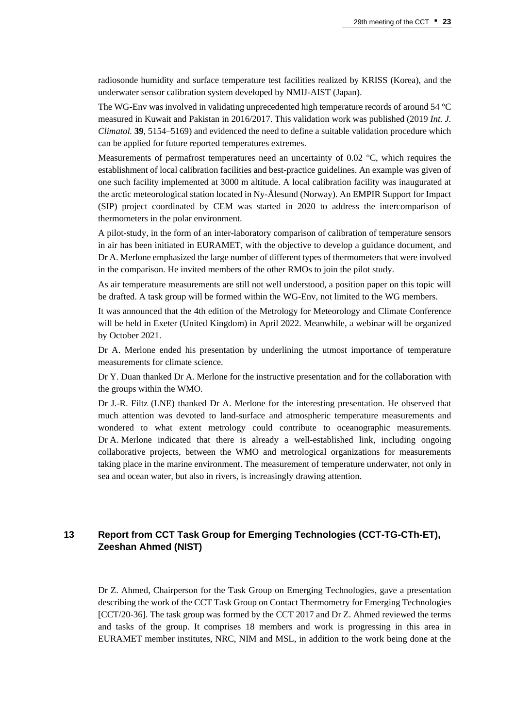radiosonde humidity and surface temperature test facilities realized by KRISS (Korea), and the underwater sensor calibration system developed by NMIJ-AIST (Japan).

The WG-Env was involved in validating unprecedented high temperature records of around 54 °C measured in Kuwait and Pakistan in 2016/2017. This validation work was published (2019 *Int. J. Climatol.* **39**, 5154–5169) and evidenced the need to define a suitable validation procedure which can be applied for future reported temperatures extremes.

Measurements of permafrost temperatures need an uncertainty of  $0.02 \degree C$ , which requires the establishment of local calibration facilities and best-practice guidelines. An example was given of one such facility implemented at 3000 m altitude. A local calibration facility was inaugurated at the arctic meteorological station located in Ny-Ålesund (Norway). An EMPIR Support for Impact (SIP) project coordinated by CEM was started in 2020 to address the intercomparison of thermometers in the polar environment.

A pilot-study, in the form of an inter-laboratory comparison of calibration of temperature sensors in air has been initiated in EURAMET, with the objective to develop a guidance document, and Dr A. Merlone emphasized the large number of different types of thermometers that were involved in the comparison. He invited members of the other RMOs to join the pilot study.

As air temperature measurements are still not well understood, a position paper on this topic will be drafted. A task group will be formed within the WG-Env, not limited to the WG members.

It was announced that the 4th edition of the Metrology for Meteorology and Climate Conference will be held in Exeter (United Kingdom) in April 2022. Meanwhile, a webinar will be organized by October 2021.

Dr A. Merlone ended his presentation by underlining the utmost importance of temperature measurements for climate science.

Dr Y. Duan thanked Dr A. Merlone for the instructive presentation and for the collaboration with the groups within the WMO.

Dr J.-R. Filtz (LNE) thanked Dr A. Merlone for the interesting presentation. He observed that much attention was devoted to land-surface and atmospheric temperature measurements and wondered to what extent metrology could contribute to oceanographic measurements. Dr A. Merlone indicated that there is already a well-established link, including ongoing collaborative projects, between the WMO and metrological organizations for measurements taking place in the marine environment. The measurement of temperature underwater, not only in sea and ocean water, but also in rivers, is increasingly drawing attention.

# **13 Report from CCT Task Group for Emerging Technologies (CCT-TG-CTh-ET), Zeeshan Ahmed (NIST)**

Dr Z. Ahmed, Chairperson for the Task Group on Emerging Technologies, gave a presentation describing the work of the CCT Task Group on Contact Thermometry for Emerging Technologies [CCT/20-36]. The task group was formed by the CCT 2017 and Dr Z. Ahmed reviewed the terms and tasks of the group. It comprises 18 members and work is progressing in this area in EURAMET member institutes, NRC, NIM and MSL, in addition to the work being done at the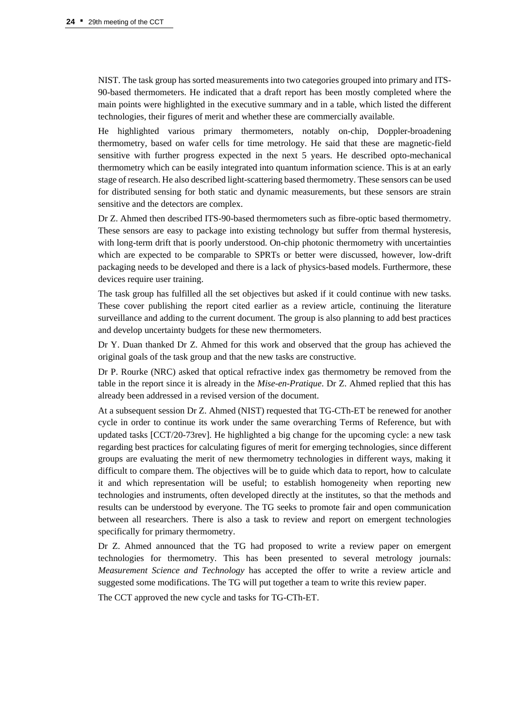NIST. The task group has sorted measurements into two categories grouped into primary and ITS-90-based thermometers. He indicated that a draft report has been mostly completed where the main points were highlighted in the executive summary and in a table, which listed the different technologies, their figures of merit and whether these are commercially available.

He highlighted various primary thermometers, notably on-chip, Doppler-broadening thermometry, based on wafer cells for time metrology. He said that these are magnetic-field sensitive with further progress expected in the next 5 years. He described opto-mechanical thermometry which can be easily integrated into quantum information science. This is at an early stage of research. He also described light-scattering based thermometry. These sensors can be used for distributed sensing for both static and dynamic measurements, but these sensors are strain sensitive and the detectors are complex.

Dr Z. Ahmed then described ITS-90-based thermometers such as fibre-optic based thermometry. These sensors are easy to package into existing technology but suffer from thermal hysteresis, with long-term drift that is poorly understood. On-chip photonic thermometry with uncertainties which are expected to be comparable to SPRTs or better were discussed, however, low-drift packaging needs to be developed and there is a lack of physics-based models. Furthermore, these devices require user training.

The task group has fulfilled all the set objectives but asked if it could continue with new tasks. These cover publishing the report cited earlier as a review article, continuing the literature surveillance and adding to the current document. The group is also planning to add best practices and develop uncertainty budgets for these new thermometers.

Dr Y. Duan thanked Dr Z. Ahmed for this work and observed that the group has achieved the original goals of the task group and that the new tasks are constructive.

Dr P. Rourke (NRC) asked that optical refractive index gas thermometry be removed from the table in the report since it is already in the *Mise-en-Pratique*. Dr Z. Ahmed replied that this has already been addressed in a revised version of the document.

At a subsequent session Dr Z. Ahmed (NIST) requested that TG-CTh-ET be renewed for another cycle in order to continue its work under the same overarching Terms of Reference, but with updated tasks [CCT/20-73rev]. He highlighted a big change for the upcoming cycle: a new task regarding best practices for calculating figures of merit for emerging technologies, since different groups are evaluating the merit of new thermometry technologies in different ways, making it difficult to compare them. The objectives will be to guide which data to report, how to calculate it and which representation will be useful; to establish homogeneity when reporting new technologies and instruments, often developed directly at the institutes, so that the methods and results can be understood by everyone. The TG seeks to promote fair and open communication between all researchers. There is also a task to review and report on emergent technologies specifically for primary thermometry.

Dr Z. Ahmed announced that the TG had proposed to write a review paper on emergent technologies for thermometry. This has been presented to several metrology journals: *Measurement Science and Technology* has accepted the offer to write a review article and suggested some modifications. The TG will put together a team to write this review paper.

The CCT approved the new cycle and tasks for TG-CTh-ET.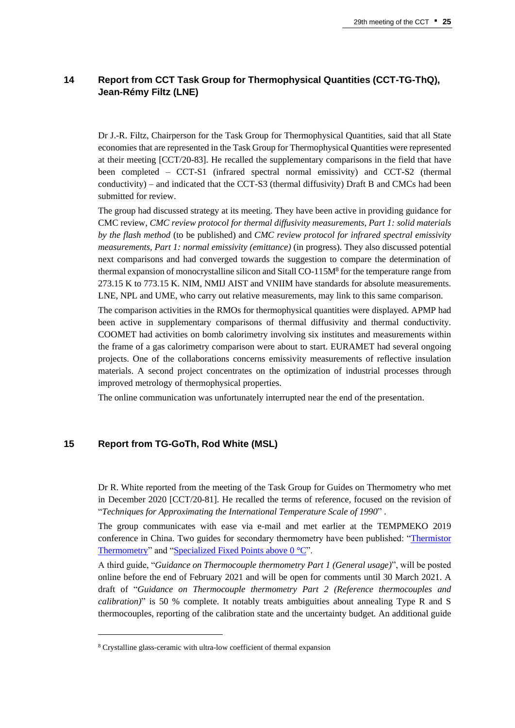# **14 Report from CCT Task Group for Thermophysical Quantities (CCT-TG-ThQ), Jean-Rémy Filtz (LNE)**

Dr J.-R. Filtz, Chairperson for the Task Group for Thermophysical Quantities, said that all State economies that are represented in the Task Group for Thermophysical Quantities were represented at their meeting [CCT/20-83]. He recalled the supplementary comparisons in the field that have been completed – CCT-S1 (infrared spectral normal emissivity) and CCT-S2 (thermal conductivity) – and indicated that the CCT-S3 (thermal diffusivity) Draft B and CMCs had been submitted for review.

The group had discussed strategy at its meeting. They have been active in providing guidance for CMC review, *CMC review protocol for thermal diffusivity measurements, Part 1: solid materials by the flash method* (to be published) and *CMC review protocol for infrared spectral emissivity measurements, Part 1: normal emissivity (emittance)* (in progress). They also discussed potential next comparisons and had converged towards the suggestion to compare the determination of thermal expansion of monocrystalline silicon and Sitall CO-115M<sup>8</sup> for the temperature range from 273.15 K to 773.15 K. NIM, NMIJ AIST and VNIIM have standards for absolute measurements. LNE, NPL and UME, who carry out relative measurements, may link to this same comparison.

The comparison activities in the RMOs for thermophysical quantities were displayed. APMP had been active in supplementary comparisons of thermal diffusivity and thermal conductivity. COOMET had activities on bomb calorimetry involving six institutes and measurements within the frame of a gas calorimetry comparison were about to start. EURAMET had several ongoing projects. One of the collaborations concerns emissivity measurements of reflective insulation materials. A second project concentrates on the optimization of industrial processes through improved metrology of thermophysical properties.

The online communication was unfortunately interrupted near the end of the presentation.

#### **15 Report from TG-GoTh, Rod White (MSL)**

Dr R. White reported from the meeting of the Task Group for Guides on Thermometry who met in December 2020 [CCT/20-81]. He recalled the terms of reference, focused on the revision of "*Techniques for Approximating the International Temperature Scale of 1990*" .

The group communicates with ease via e-mail and met earlier at the TEMPMEKO 2019 conference in China. Two guides for secondary thermometry have been published: ["Thermistor](https://www.bipm.org/documents/20126/41773843/Guide-SecTh-Thermistor-Thermometry.pdf/87e2fdc8-14fc-e977-918e-b801752d06a0)  [Thermometry"](https://www.bipm.org/documents/20126/41773843/Guide-SecTh-Thermistor-Thermometry.pdf/87e2fdc8-14fc-e977-918e-b801752d06a0) and ["Specialized Fixed Points above](https://www.bipm.org/documents/20126/41773843/Specialized-FPs-above-0C.pdf/10265617-c79f-0ea5-8da9-8d359e21c6be?version=1.3&download=true) 0 °C".

A third guide, "*Guidance on Thermocouple thermometry Part 1 (General usage)*", will be posted online before the end of February 2021 and will be open for comments until 30 March 2021. A draft of "*Guidance on Thermocouple thermometry Part 2 (Reference thermocouples and calibration)*" is 50 % complete. It notably treats ambiguities about annealing Type R and S thermocouples, reporting of the calibration state and the uncertainty budget. An additional guide

<sup>8</sup> Crystalline glass-ceramic with ultra-low coefficient of thermal expansion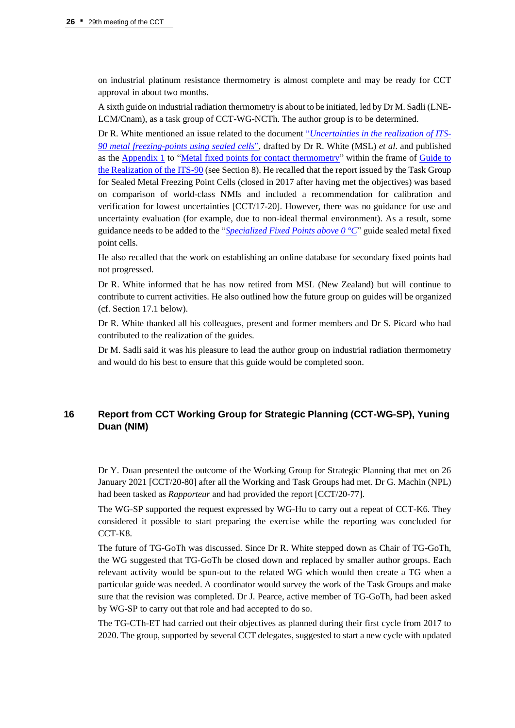on industrial platinum resistance thermometry is almost complete and may be ready for CCT approval in about two months.

A sixth guide on industrial radiation thermometry is about to be initiated, led by Dr M. Sadli (LNE-LCM/Cnam), as a task group of CCT-WG-NCTh. The author group is to be determined.

Dr R. White mentioned an issue related to the document "*[Uncertainties in the realization of ITS-](https://www.bipm.org/documents/20126/41773843/Guide_ITS-90_2_4_MetalFixedPoints_Appendix-1_2018.pdf/792eb42d-d98c-9e35-78b4-c7fafb1394f9)[90 metal freezing-points using sealed cells](https://www.bipm.org/documents/20126/41773843/Guide_ITS-90_2_4_MetalFixedPoints_Appendix-1_2018.pdf/792eb42d-d98c-9e35-78b4-c7fafb1394f9)*", drafted by Dr R. White (MSL) *et al*. and published as the [Appendix 1](https://www.bipm.org/documents/20126/41773843/Guide_ITS-90_2_4_MetalFixedPoints_Appendix-1_2018.pdf/792eb42d-d98c-9e35-78b4-c7fafb1394f9) to ["Metal fixed points for contact thermometry"](https://www.bipm.org/documents/20126/41773843/Guide_ITS-90_2_4_MetalFixedPoints_2018.pdf/665aff3f-b72e-0e28-c520-89197232a06e) within the frame of [Guide to](https://www.bipm.org/en/committees/cc/cct/guides-to-thermometry)  [the Realization of the ITS-90](https://www.bipm.org/en/committees/cc/cct/guides-to-thermometry) (see Section 8). He recalled that the report issued by the Task Group for Sealed Metal Freezing Point Cells (closed in 2017 after having met the objectives) was based on comparison of world-class NMIs and included a recommendation for calibration and verification for lowest uncertainties [CCT/17-20]. However, there was no guidance for use and uncertainty evaluation (for example, due to non-ideal thermal environment). As a result, some guidance needs to be added to the "*[Specialized Fixed Points above 0 °C](https://www.bipm.org/documents/20126/41773843/Specialized-FPs-above-0C.pdf/10265617-c79f-0ea5-8da9-8d359e21c6be)*" guide sealed metal fixed point cells.

He also recalled that the work on establishing an online database for secondary fixed points had not progressed.

Dr R. White informed that he has now retired from MSL (New Zealand) but will continue to contribute to current activities. He also outlined how the future group on guides will be organized (cf. Section 17.1 below).

Dr R. White thanked all his colleagues, present and former members and Dr S. Picard who had contributed to the realization of the guides.

Dr M. Sadli said it was his pleasure to lead the author group on industrial radiation thermometry and would do his best to ensure that this guide would be completed soon.

# **16 Report from CCT Working Group for Strategic Planning (CCT-WG-SP), Yuning Duan (NIM)**

Dr Y. Duan presented the outcome of the Working Group for Strategic Planning that met on 26 January 2021 [CCT/20-80] after all the Working and Task Groups had met. Dr G. Machin (NPL) had been tasked as *Rapporteur* and had provided the report [CCT/20-77].

The WG-SP supported the request expressed by WG-Hu to carry out a repeat of CCT-K6. They considered it possible to start preparing the exercise while the reporting was concluded for CCT-K8.

The future of TG-GoTh was discussed. Since Dr R. White stepped down as Chair of TG-GoTh, the WG suggested that TG-GoTh be closed down and replaced by smaller author groups. Each relevant activity would be spun-out to the related WG which would then create a TG when a particular guide was needed. A coordinator would survey the work of the Task Groups and make sure that the revision was completed. Dr J. Pearce, active member of TG-GoTh, had been asked by WG-SP to carry out that role and had accepted to do so.

The TG-CTh-ET had carried out their objectives as planned during their first cycle from 2017 to 2020. The group, supported by several CCT delegates, suggested to start a new cycle with updated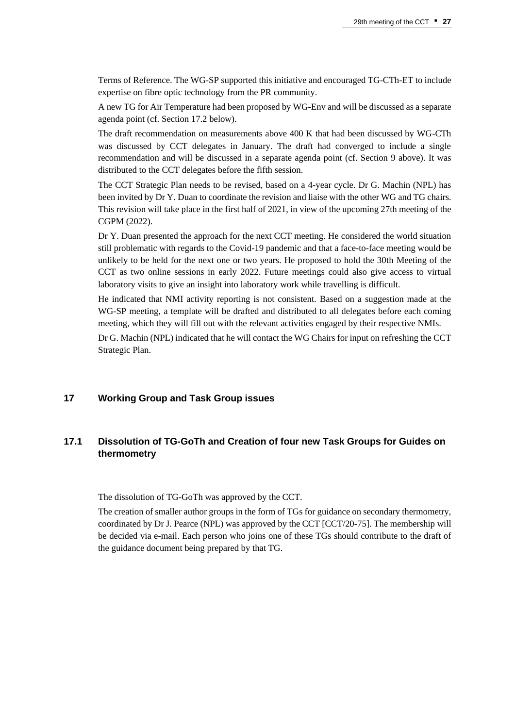Terms of Reference. The WG-SP supported this initiative and encouraged TG-CTh-ET to include expertise on fibre optic technology from the PR community.

A new TG for Air Temperature had been proposed by WG-Env and will be discussed as a separate agenda point (cf. Section 17.2 below).

The draft recommendation on measurements above 400 K that had been discussed by WG-CTh was discussed by CCT delegates in January. The draft had converged to include a single recommendation and will be discussed in a separate agenda point (cf. Section 9 above). It was distributed to the CCT delegates before the fifth session.

The CCT Strategic Plan needs to be revised, based on a 4-year cycle. Dr G. Machin (NPL) has been invited by Dr Y. Duan to coordinate the revision and liaise with the other WG and TG chairs. This revision will take place in the first half of 2021, in view of the upcoming 27th meeting of the CGPM (2022).

Dr Y. Duan presented the approach for the next CCT meeting. He considered the world situation still problematic with regards to the Covid-19 pandemic and that a face-to-face meeting would be unlikely to be held for the next one or two years. He proposed to hold the 30th Meeting of the CCT as two online sessions in early 2022. Future meetings could also give access to virtual laboratory visits to give an insight into laboratory work while travelling is difficult.

He indicated that NMI activity reporting is not consistent. Based on a suggestion made at the WG-SP meeting, a template will be drafted and distributed to all delegates before each coming meeting, which they will fill out with the relevant activities engaged by their respective NMIs.

Dr G. Machin (NPL) indicated that he will contact the WG Chairs for input on refreshing the CCT Strategic Plan.

## **17 Working Group and Task Group issues**

# **17.1 Dissolution of TG-GoTh and Creation of four new Task Groups for Guides on thermometry**

The dissolution of TG-GoTh was approved by the CCT.

The creation of smaller author groups in the form of TGs for guidance on secondary thermometry, coordinated by Dr J. Pearce (NPL) was approved by the CCT [CCT/20-75]. The membership will be decided via e-mail. Each person who joins one of these TGs should contribute to the draft of the guidance document being prepared by that TG.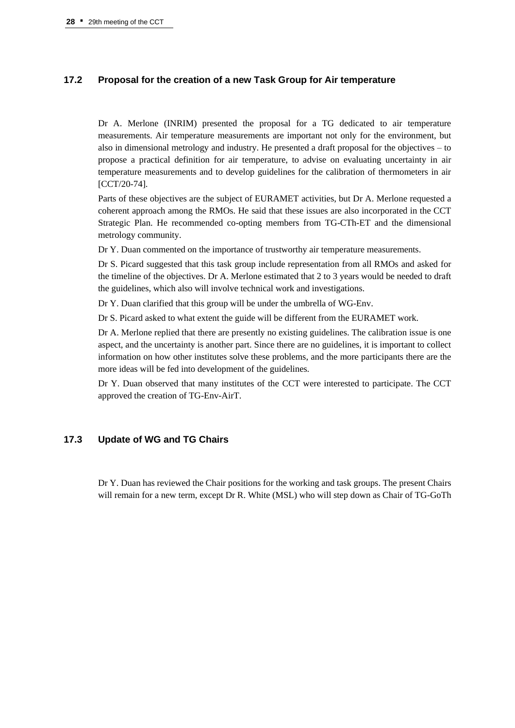## **17.2 Proposal for the creation of a new Task Group for Air temperature**

Dr A. Merlone (INRIM) presented the proposal for a TG dedicated to air temperature measurements. Air temperature measurements are important not only for the environment, but also in dimensional metrology and industry. He presented a draft proposal for the objectives – to propose a practical definition for air temperature, to advise on evaluating uncertainty in air temperature measurements and to develop guidelines for the calibration of thermometers in air [CCT/20-74].

Parts of these objectives are the subject of EURAMET activities, but Dr A. Merlone requested a coherent approach among the RMOs. He said that these issues are also incorporated in the CCT Strategic Plan. He recommended co-opting members from TG-CTh-ET and the dimensional metrology community.

Dr Y. Duan commented on the importance of trustworthy air temperature measurements.

Dr S. Picard suggested that this task group include representation from all RMOs and asked for the timeline of the objectives. Dr A. Merlone estimated that 2 to 3 years would be needed to draft the guidelines, which also will involve technical work and investigations.

Dr Y. Duan clarified that this group will be under the umbrella of WG-Env.

Dr S. Picard asked to what extent the guide will be different from the EURAMET work.

Dr A. Merlone replied that there are presently no existing guidelines. The calibration issue is one aspect, and the uncertainty is another part. Since there are no guidelines, it is important to collect information on how other institutes solve these problems, and the more participants there are the more ideas will be fed into development of the guidelines.

Dr Y. Duan observed that many institutes of the CCT were interested to participate. The CCT approved the creation of TG-Env-AirT.

## **17.3 Update of WG and TG Chairs**

Dr Y. Duan has reviewed the Chair positions for the working and task groups. The present Chairs will remain for a new term, except Dr R. White (MSL) who will step down as Chair of TG-GoTh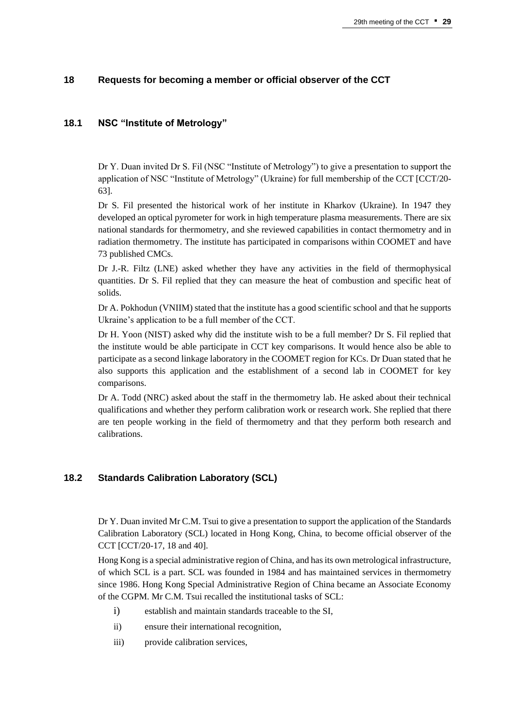## **18 Requests for becoming a member or official observer of the CCT**

## **18.1 NSC "Institute of Metrology"**

Dr Y. Duan invited Dr S. Fil (NSC "Institute of Metrology") to give a presentation to support the application of NSC "Institute of Metrology" (Ukraine) for full membership of the CCT [CCT/20- 63].

Dr S. Fil presented the historical work of her institute in Kharkov (Ukraine). In 1947 they developed an optical pyrometer for work in high temperature plasma measurements. There are six national standards for thermometry, and she reviewed capabilities in contact thermometry and in radiation thermometry. The institute has participated in comparisons within COOMET and have 73 published CMCs.

Dr J.-R. Filtz (LNE) asked whether they have any activities in the field of thermophysical quantities. Dr S. Fil replied that they can measure the heat of combustion and specific heat of solids.

Dr A. Pokhodun (VNIIM) stated that the institute has a good scientific school and that he supports Ukraine's application to be a full member of the CCT.

Dr H. Yoon (NIST) asked why did the institute wish to be a full member? Dr S. Fil replied that the institute would be able participate in CCT key comparisons. It would hence also be able to participate as a second linkage laboratory in the COOMET region for KCs. Dr Duan stated that he also supports this application and the establishment of a second lab in COOMET for key comparisons.

Dr A. Todd (NRC) asked about the staff in the thermometry lab. He asked about their technical qualifications and whether they perform calibration work or research work. She replied that there are ten people working in the field of thermometry and that they perform both research and calibrations.

## **18.2 Standards Calibration Laboratory (SCL)**

Dr Y. Duan invited Mr C.M. Tsui to give a presentation to support the application of the Standards Calibration Laboratory (SCL) located in Hong Kong, China, to become official observer of the CCT [CCT/20-17, 18 and 40].

Hong Kong is a special administrative region of China, and has its own metrological infrastructure, of which SCL is a part. SCL was founded in 1984 and has maintained services in thermometry since 1986. Hong Kong Special Administrative Region of China became an Associate Economy of the CGPM. Mr C.M. Tsui recalled the institutional tasks of SCL:

- i) establish and maintain standards traceable to the SI,
- ii) ensure their international recognition,
- iii) provide calibration services,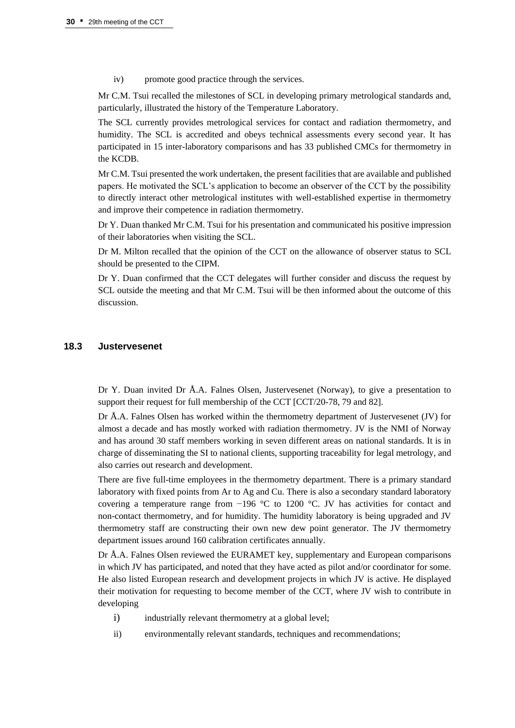iv) promote good practice through the services.

Mr C.M. Tsui recalled the milestones of SCL in developing primary metrological standards and, particularly, illustrated the history of the Temperature Laboratory.

The SCL currently provides metrological services for contact and radiation thermometry, and humidity. The SCL is accredited and obeys technical assessments every second year. It has participated in 15 inter-laboratory comparisons and has 33 published CMCs for thermometry in the KCDB.

Mr C.M. Tsui presented the work undertaken, the present facilities that are available and published papers. He motivated the SCL's application to become an observer of the CCT by the possibility to directly interact other metrological institutes with well-established expertise in thermometry and improve their competence in radiation thermometry.

Dr Y. Duan thanked Mr C.M. Tsui for his presentation and communicated his positive impression of their laboratories when visiting the SCL.

Dr M. Milton recalled that the opinion of the CCT on the allowance of observer status to SCL should be presented to the CIPM.

Dr Y. Duan confirmed that the CCT delegates will further consider and discuss the request by SCL outside the meeting and that Mr C.M. Tsui will be then informed about the outcome of this discussion.

## **18.3 Justervesenet**

Dr Y. Duan invited Dr Å.A. Falnes Olsen, Justervesenet (Norway), to give a presentation to support their request for full membership of the CCT [CCT/20-78, 79 and 82].

Dr Å.A. Falnes Olsen has worked within the thermometry department of Justervesenet (JV) for almost a decade and has mostly worked with radiation thermometry. JV is the NMI of Norway and has around 30 staff members working in seven different areas on national standards. It is in charge of disseminating the SI to national clients, supporting traceability for legal metrology, and also carries out research and development.

There are five full-time employees in the thermometry department. There is a primary standard laboratory with fixed points from Ar to Ag and Cu. There is also a secondary standard laboratory covering a temperature range from −196 °C to 1200 °C. JV has activities for contact and non-contact thermometry, and for humidity. The humidity laboratory is being upgraded and JV thermometry staff are constructing their own new dew point generator. The JV thermometry department issues around 160 calibration certificates annually.

Dr Å.A. Falnes Olsen reviewed the EURAMET key, supplementary and European comparisons in which JV has participated, and noted that they have acted as pilot and/or coordinator for some. He also listed European research and development projects in which JV is active. He displayed their motivation for requesting to become member of the CCT, where JV wish to contribute in developing

- i) industrially relevant thermometry at a global level;
- ii) environmentally relevant standards, techniques and recommendations;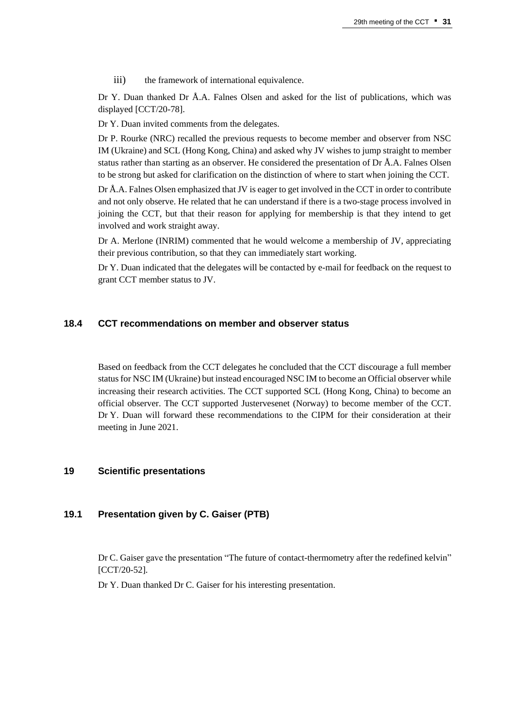iii) the framework of international equivalence.

Dr Y. Duan thanked Dr Å.A. Falnes Olsen and asked for the list of publications, which was displayed [CCT/20-78].

Dr Y. Duan invited comments from the delegates.

Dr P. Rourke (NRC) recalled the previous requests to become member and observer from NSC IM (Ukraine) and SCL (Hong Kong, China) and asked why JV wishes to jump straight to member status rather than starting as an observer. He considered the presentation of Dr Å.A. Falnes Olsen to be strong but asked for clarification on the distinction of where to start when joining the CCT.

Dr Å.A. Falnes Olsen emphasized that JV is eager to get involved in the CCT in order to contribute and not only observe. He related that he can understand if there is a two-stage process involved in joining the CCT, but that their reason for applying for membership is that they intend to get involved and work straight away.

Dr A. Merlone (INRIM) commented that he would welcome a membership of JV, appreciating their previous contribution, so that they can immediately start working.

Dr Y. Duan indicated that the delegates will be contacted by e-mail for feedback on the request to grant CCT member status to JV.

## **18.4 CCT recommendations on member and observer status**

Based on feedback from the CCT delegates he concluded that the CCT discourage a full member status for NSC IM (Ukraine) but instead encouraged NSC IM to become an Official observer while increasing their research activities. The CCT supported SCL (Hong Kong, China) to become an official observer. The CCT supported Justervesenet (Norway) to become member of the CCT. Dr Y. Duan will forward these recommendations to the CIPM for their consideration at their meeting in June 2021.

## **19 Scientific presentations**

## **19.1 Presentation given by C. Gaiser (PTB)**

Dr C. Gaiser gave the presentation "The future of contact-thermometry after the redefined kelvin" [CCT/20-52].

Dr Y. Duan thanked Dr C. Gaiser for his interesting presentation.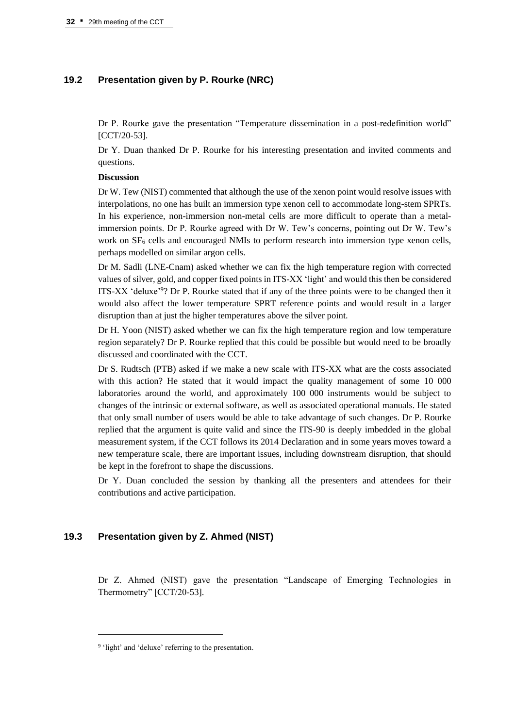## **19.2 Presentation given by P. Rourke (NRC)**

Dr P. Rourke gave the presentation "Temperature dissemination in a post-redefinition world" [CCT/20-53].

Dr Y. Duan thanked Dr P. Rourke for his interesting presentation and invited comments and questions.

#### **Discussion**

Dr W. Tew (NIST) commented that although the use of the xenon point would resolve issues with interpolations, no one has built an immersion type xenon cell to accommodate long-stem SPRTs. In his experience, non-immersion non-metal cells are more difficult to operate than a metalimmersion points. Dr P. Rourke agreed with Dr W. Tew's concerns, pointing out Dr W. Tew's work on  $SF<sub>6</sub>$  cells and encouraged NMIs to perform research into immersion type xenon cells, perhaps modelled on similar argon cells.

Dr M. Sadli (LNE-Cnam) asked whether we can fix the high temperature region with corrected values of silver, gold, and copper fixed points in ITS-XX 'light' and would this then be considered ITS-XX 'deluxe'<sup>9</sup>? Dr P. Rourke stated that if any of the three points were to be changed then it would also affect the lower temperature SPRT reference points and would result in a larger disruption than at just the higher temperatures above the silver point.

Dr H. Yoon (NIST) asked whether we can fix the high temperature region and low temperature region separately? Dr P. Rourke replied that this could be possible but would need to be broadly discussed and coordinated with the CCT.

Dr S. Rudtsch (PTB) asked if we make a new scale with ITS-XX what are the costs associated with this action? He stated that it would impact the quality management of some 10 000 laboratories around the world, and approximately 100 000 instruments would be subject to changes of the intrinsic or external software, as well as associated operational manuals. He stated that only small number of users would be able to take advantage of such changes. Dr P. Rourke replied that the argument is quite valid and since the ITS-90 is deeply imbedded in the global measurement system, if the CCT follows its 2014 Declaration and in some years moves toward a new temperature scale, there are important issues, including downstream disruption, that should be kept in the forefront to shape the discussions.

Dr Y. Duan concluded the session by thanking all the presenters and attendees for their contributions and active participation.

## **19.3 Presentation given by Z. Ahmed (NIST)**

Dr Z. Ahmed (NIST) gave the presentation "Landscape of Emerging Technologies in Thermometry" [CCT/20-53].

<sup>&</sup>lt;sup>9</sup> 'light' and 'deluxe' referring to the presentation.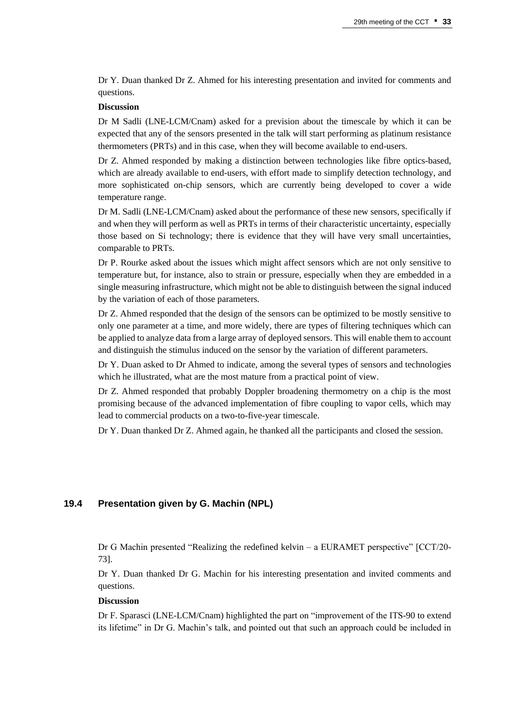Dr Y. Duan thanked Dr Z. Ahmed for his interesting presentation and invited for comments and questions.

#### **Discussion**

Dr M Sadli (LNE-LCM/Cnam) asked for a prevision about the timescale by which it can be expected that any of the sensors presented in the talk will start performing as platinum resistance thermometers (PRTs) and in this case, when they will become available to end-users.

Dr Z. Ahmed responded by making a distinction between technologies like fibre optics-based, which are already available to end-users, with effort made to simplify detection technology, and more sophisticated on-chip sensors, which are currently being developed to cover a wide temperature range.

Dr M. Sadli (LNE-LCM/Cnam) asked about the performance of these new sensors, specifically if and when they will perform as well as PRTs in terms of their characteristic uncertainty, especially those based on Si technology; there is evidence that they will have very small uncertainties, comparable to PRTs.

Dr P. Rourke asked about the issues which might affect sensors which are not only sensitive to temperature but, for instance, also to strain or pressure, especially when they are embedded in a single measuring infrastructure, which might not be able to distinguish between the signal induced by the variation of each of those parameters.

Dr Z. Ahmed responded that the design of the sensors can be optimized to be mostly sensitive to only one parameter at a time, and more widely, there are types of filtering techniques which can be applied to analyze data from a large array of deployed sensors. This will enable them to account and distinguish the stimulus induced on the sensor by the variation of different parameters.

Dr Y. Duan asked to Dr Ahmed to indicate, among the several types of sensors and technologies which he illustrated, what are the most mature from a practical point of view.

Dr Z. Ahmed responded that probably Doppler broadening thermometry on a chip is the most promising because of the advanced implementation of fibre coupling to vapor cells, which may lead to commercial products on a two-to-five-year timescale.

Dr Y. Duan thanked Dr Z. Ahmed again, he thanked all the participants and closed the session.

## **19.4 Presentation given by G. Machin (NPL)**

Dr G Machin presented "Realizing the redefined kelvin – a EURAMET perspective" [CCT/20- 73].

Dr Y. Duan thanked Dr G. Machin for his interesting presentation and invited comments and questions.

#### **Discussion**

Dr F. Sparasci (LNE-LCM/Cnam) highlighted the part on "improvement of the ITS-90 to extend its lifetime" in Dr G. Machin's talk, and pointed out that such an approach could be included in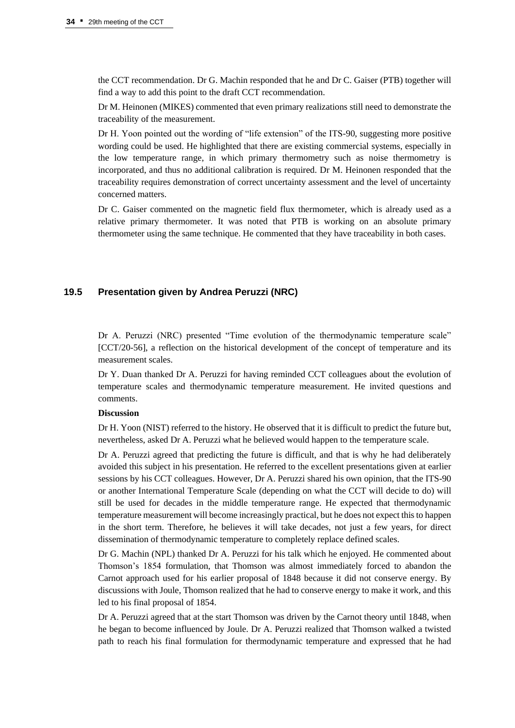the CCT recommendation. Dr G. Machin responded that he and Dr C. Gaiser (PTB) together will find a way to add this point to the draft CCT recommendation.

Dr M. Heinonen (MIKES) commented that even primary realizations still need to demonstrate the traceability of the measurement.

Dr H. Yoon pointed out the wording of "life extension" of the ITS-90, suggesting more positive wording could be used. He highlighted that there are existing commercial systems, especially in the low temperature range, in which primary thermometry such as noise thermometry is incorporated, and thus no additional calibration is required. Dr M. Heinonen responded that the traceability requires demonstration of correct uncertainty assessment and the level of uncertainty concerned matters.

Dr C. Gaiser commented on the magnetic field flux thermometer, which is already used as a relative primary thermometer. It was noted that PTB is working on an absolute primary thermometer using the same technique. He commented that they have traceability in both cases.

## **19.5 Presentation given by Andrea Peruzzi (NRC)**

Dr A. Peruzzi (NRC) presented "Time evolution of the thermodynamic temperature scale" [CCT/20-56], a reflection on the historical development of the concept of temperature and its measurement scales.

Dr Y. Duan thanked Dr A. Peruzzi for having reminded CCT colleagues about the evolution of temperature scales and thermodynamic temperature measurement. He invited questions and comments.

## **Discussion**

Dr H. Yoon (NIST) referred to the history. He observed that it is difficult to predict the future but, nevertheless, asked Dr A. Peruzzi what he believed would happen to the temperature scale.

Dr A. Peruzzi agreed that predicting the future is difficult, and that is why he had deliberately avoided this subject in his presentation. He referred to the excellent presentations given at earlier sessions by his CCT colleagues. However, Dr A. Peruzzi shared his own opinion, that the ITS-90 or another International Temperature Scale (depending on what the CCT will decide to do) will still be used for decades in the middle temperature range. He expected that thermodynamic temperature measurement will become increasingly practical, but he does not expect this to happen in the short term. Therefore, he believes it will take decades, not just a few years, for direct dissemination of thermodynamic temperature to completely replace defined scales.

Dr G. Machin (NPL) thanked Dr A. Peruzzi for his talk which he enjoyed. He commented about Thomson's 1854 formulation, that Thomson was almost immediately forced to abandon the Carnot approach used for his earlier proposal of 1848 because it did not conserve energy. By discussions with Joule, Thomson realized that he had to conserve energy to make it work, and this led to his final proposal of 1854.

Dr A. Peruzzi agreed that at the start Thomson was driven by the Carnot theory until 1848, when he began to become influenced by Joule. Dr A. Peruzzi realized that Thomson walked a twisted path to reach his final formulation for thermodynamic temperature and expressed that he had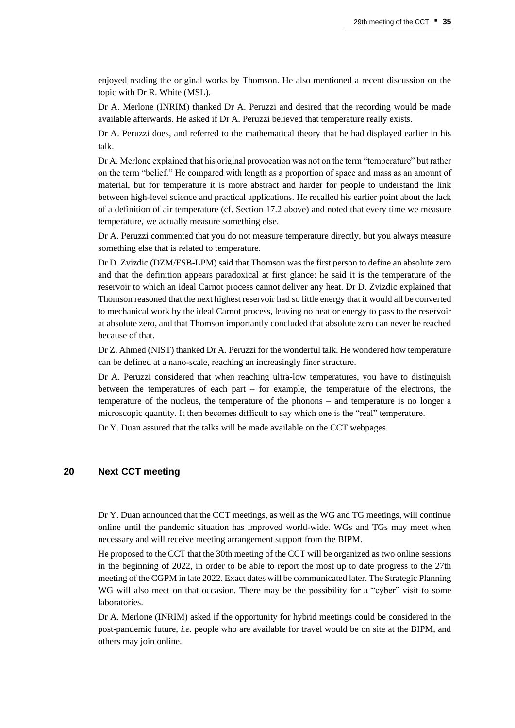enjoyed reading the original works by Thomson. He also mentioned a recent discussion on the topic with Dr R. White (MSL).

Dr A. Merlone (INRIM) thanked Dr A. Peruzzi and desired that the recording would be made available afterwards. He asked if Dr A. Peruzzi believed that temperature really exists.

Dr A. Peruzzi does, and referred to the mathematical theory that he had displayed earlier in his talk.

Dr A. Merlone explained that his original provocation was not on the term "temperature" but rather on the term "belief." He compared with length as a proportion of space and mass as an amount of material, but for temperature it is more abstract and harder for people to understand the link between high-level science and practical applications. He recalled his earlier point about the lack of a definition of air temperature (cf. Section 17.2 above) and noted that every time we measure temperature, we actually measure something else.

Dr A. Peruzzi commented that you do not measure temperature directly, but you always measure something else that is related to temperature.

Dr D. Zvizdic (DZM/FSB-LPM) said that Thomson was the first person to define an absolute zero and that the definition appears paradoxical at first glance: he said it is the temperature of the reservoir to which an ideal Carnot process cannot deliver any heat. Dr D. Zvizdic explained that Thomson reasoned that the next highest reservoir had so little energy that it would all be converted to mechanical work by the ideal Carnot process, leaving no heat or energy to pass to the reservoir at absolute zero, and that Thomson importantly concluded that absolute zero can never be reached because of that.

Dr Z. Ahmed (NIST) thanked Dr A. Peruzzi for the wonderful talk. He wondered how temperature can be defined at a nano-scale, reaching an increasingly finer structure.

Dr A. Peruzzi considered that when reaching ultra-low temperatures, you have to distinguish between the temperatures of each part – for example, the temperature of the electrons, the temperature of the nucleus, the temperature of the phonons – and temperature is no longer a microscopic quantity. It then becomes difficult to say which one is the "real" temperature.

Dr Y. Duan assured that the talks will be made available on the CCT webpages.

#### **20 Next CCT meeting**

Dr Y. Duan announced that the CCT meetings, as well as the WG and TG meetings, will continue online until the pandemic situation has improved world-wide. WGs and TGs may meet when necessary and will receive meeting arrangement support from the BIPM.

He proposed to the CCT that the 30th meeting of the CCT will be organized as two online sessions in the beginning of 2022, in order to be able to report the most up to date progress to the 27th meeting of the CGPM in late 2022. Exact dates will be communicated later. The Strategic Planning WG will also meet on that occasion. There may be the possibility for a "cyber" visit to some laboratories.

Dr A. Merlone (INRIM) asked if the opportunity for hybrid meetings could be considered in the post-pandemic future, *i.e.* people who are available for travel would be on site at the BIPM, and others may join online.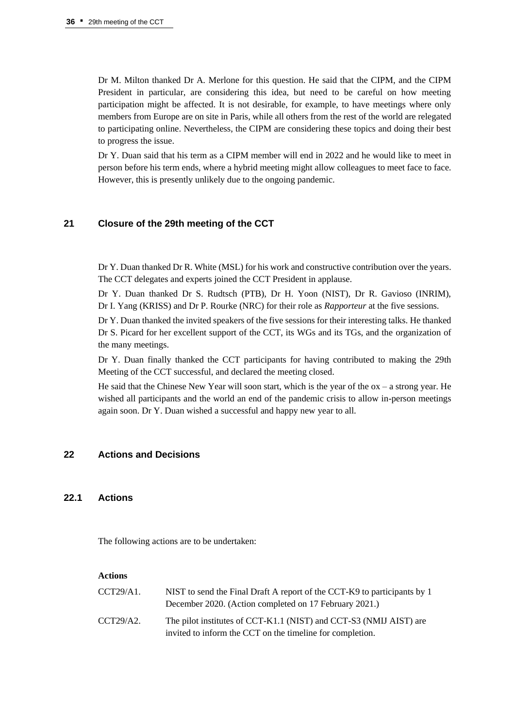Dr M. Milton thanked Dr A. Merlone for this question. He said that the CIPM, and the CIPM President in particular, are considering this idea, but need to be careful on how meeting participation might be affected. It is not desirable, for example, to have meetings where only members from Europe are on site in Paris, while all others from the rest of the world are relegated to participating online. Nevertheless, the CIPM are considering these topics and doing their best to progress the issue.

Dr Y. Duan said that his term as a CIPM member will end in 2022 and he would like to meet in person before his term ends, where a hybrid meeting might allow colleagues to meet face to face. However, this is presently unlikely due to the ongoing pandemic.

## **21 Closure of the 29th meeting of the CCT**

Dr Y. Duan thanked Dr R. White (MSL) for his work and constructive contribution over the years. The CCT delegates and experts joined the CCT President in applause.

Dr Y. Duan thanked Dr S. Rudtsch (PTB), Dr H. Yoon (NIST), Dr R. Gavioso (INRIM), Dr I. Yang (KRISS) and Dr P. Rourke (NRC) for their role as *Rapporteur* at the five sessions.

Dr Y. Duan thanked the invited speakers of the five sessions for their interesting talks. He thanked Dr S. Picard for her excellent support of the CCT, its WGs and its TGs, and the organization of the many meetings.

Dr Y. Duan finally thanked the CCT participants for having contributed to making the 29th Meeting of the CCT successful, and declared the meeting closed.

He said that the Chinese New Year will soon start, which is the year of the  $\alpha$  – a strong year. He wished all participants and the world an end of the pandemic crisis to allow in-person meetings again soon. Dr Y. Duan wished a successful and happy new year to all.

## **22 Actions and Decisions**

## **22.1 Actions**

The following actions are to be undertaken:

## **Actions**

| CCT29/A1. | NIST to send the Final Draft A report of the CCT-K9 to participants by 1<br>December 2020. (Action completed on 17 February 2021.) |
|-----------|------------------------------------------------------------------------------------------------------------------------------------|
| CCT29/A2. | The pilot institutes of CCT-K1.1 (NIST) and CCT-S3 (NMIJ AIST) are<br>invited to inform the CCT on the timeline for completion.    |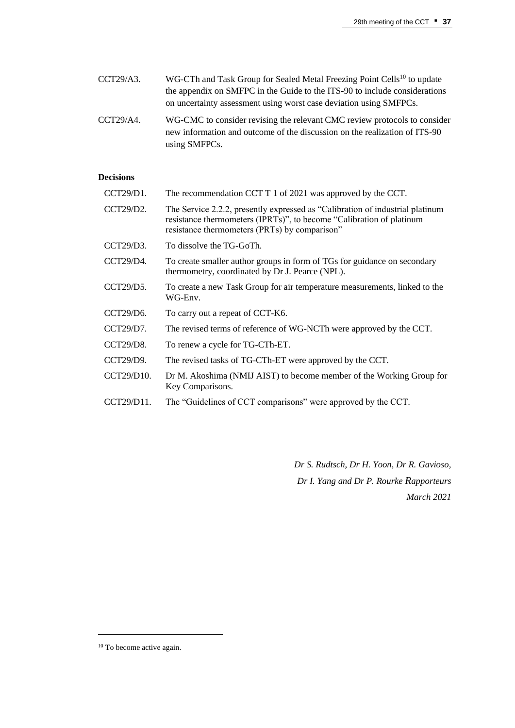- CCT29/A3. WG-CTh and Task Group for Sealed Metal Freezing Point Cells<sup>10</sup> to update the appendix on SMFPC in the Guide to the ITS-90 to include considerations on uncertainty assessment using worst case deviation using SMFPCs.
- CCT29/A4. WG-CMC to consider revising the relevant CMC review protocols to consider new information and outcome of the discussion on the realization of ITS-90 using SMFPCs.

## **Decisions**

| CCT29/D1.        | The recommendation CCT T 1 of 2021 was approved by the CCT.                                                                                                                                            |
|------------------|--------------------------------------------------------------------------------------------------------------------------------------------------------------------------------------------------------|
| CCT29/D2.        | The Service 2.2.2, presently expressed as "Calibration of industrial platinum<br>resistance thermometers (IPRTs)", to become "Calibration of platinum<br>resistance thermometers (PRTs) by comparison" |
| CCT29/D3.        | To dissolve the TG-GoTh.                                                                                                                                                                               |
| CCT29/D4.        | To create smaller author groups in form of TGs for guidance on secondary<br>thermometry, coordinated by Dr J. Pearce (NPL).                                                                            |
| CCT29/D5.        | To create a new Task Group for air temperature measurements, linked to the<br>WG-Env.                                                                                                                  |
| CCT29/D6.        | To carry out a repeat of CCT-K6.                                                                                                                                                                       |
| CCT29/D7.        | The revised terms of reference of WG-NCTh were approved by the CCT.                                                                                                                                    |
| <b>CCT29/D8.</b> | To renew a cycle for TG-CTh-ET.                                                                                                                                                                        |
| CCT29/D9.        | The revised tasks of TG-CTh-ET were approved by the CCT.                                                                                                                                               |
| CCT29/D10.       | Dr M. Akoshima (NMIJ AIST) to become member of the Working Group for<br>Key Comparisons.                                                                                                               |
| CCT29/D11.       | The "Guidelines of CCT comparisons" were approved by the CCT.                                                                                                                                          |
|                  |                                                                                                                                                                                                        |

*Dr S. Rudtsch, Dr H. Yoon, Dr R. Gavioso, Dr I. Yang and Dr P. Rourke Rapporteurs March 2021*

<sup>&</sup>lt;sup>10</sup> To become active again.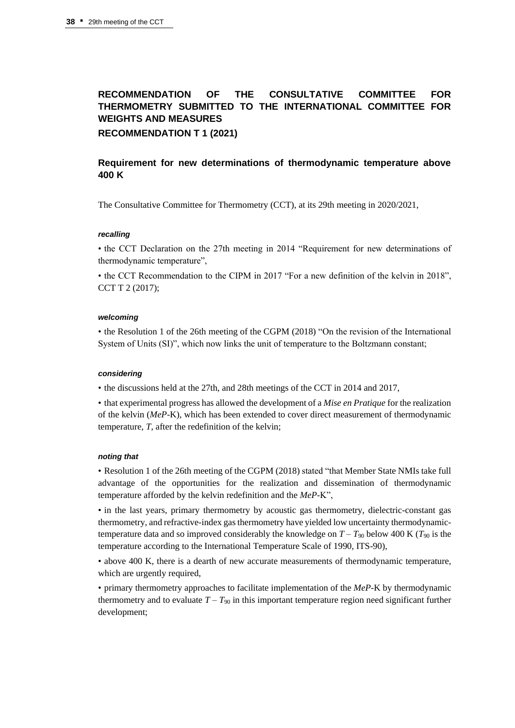# **RECOMMENDATION OF THE CONSULTATIVE COMMITTEE FOR THERMOMETRY SUBMITTED TO THE INTERNATIONAL COMMITTEE FOR WEIGHTS AND MEASURES RECOMMENDATION T 1 (2021)**

## **Requirement for new determinations of thermodynamic temperature above 400 K**

The Consultative Committee for Thermometry (CCT), at its 29th meeting in 2020/2021,

#### *recalling*

• the CCT Declaration on the 27th meeting in 2014 "Requirement for new determinations of thermodynamic temperature",

• the CCT Recommendation to the CIPM in 2017 "For a new definition of the kelvin in 2018", CCT T 2 (2017);

#### *welcoming*

• the Resolution 1 of the 26th meeting of the CGPM (2018) "On the revision of the International System of Units (SI)", which now links the unit of temperature to the Boltzmann constant;

#### *considering*

• the discussions held at the 27th, and 28th meetings of the CCT in 2014 and 2017,

• that experimental progress has allowed the development of a *Mise en Pratique* for the realization of the kelvin (*MeP*-K), which has been extended to cover direct measurement of thermodynamic temperature, *T*, after the redefinition of the kelvin;

#### *noting that*

• Resolution 1 of the 26th meeting of the CGPM (2018) stated "that Member State NMIs take full advantage of the opportunities for the realization and dissemination of thermodynamic temperature afforded by the kelvin redefinition and the *MeP*-K",

• in the last years, primary thermometry by acoustic gas thermometry, dielectric-constant gas thermometry, and refractive-index gas thermometry have yielded low uncertainty thermodynamictemperature data and so improved considerably the knowledge on  $T - T_{90}$  below 400 K ( $T_{90}$  is the temperature according to the International Temperature Scale of 1990, ITS-90),

• above 400 K, there is a dearth of new accurate measurements of thermodynamic temperature, which are urgently required,

• primary thermometry approaches to facilitate implementation of the *MeP*-K by thermodynamic thermometry and to evaluate  $T - T_{90}$  in this important temperature region need significant further development;